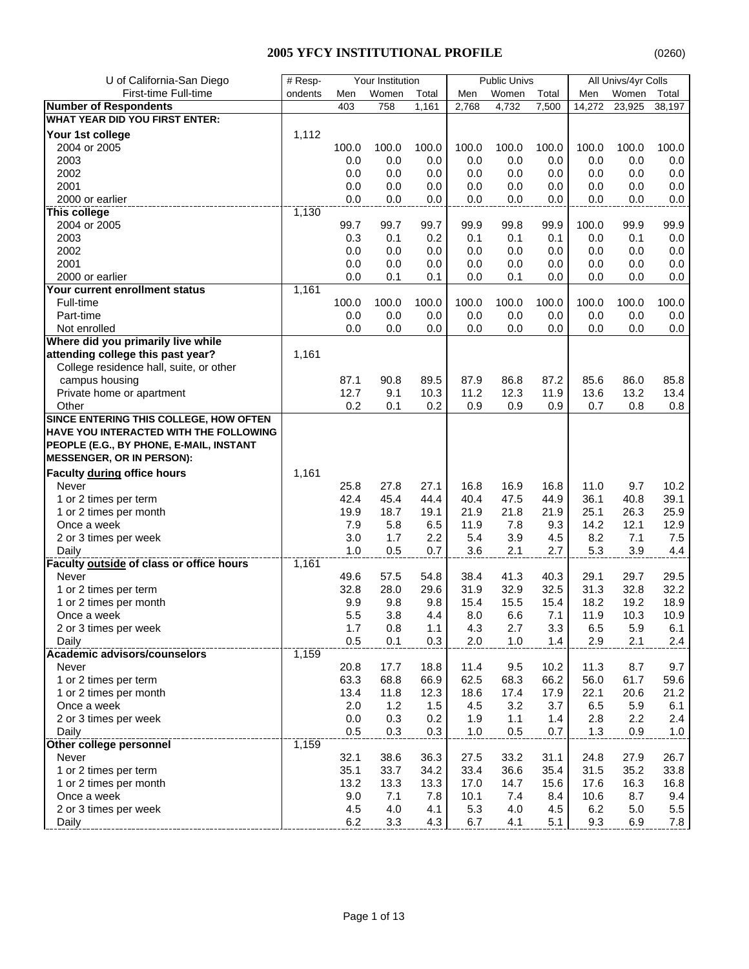| U of California-San Diego                | $#$ Resp |         | Your Institution |       |       | <b>Public Univs</b> |       |        | All Univs/4yr Colls |         |
|------------------------------------------|----------|---------|------------------|-------|-------|---------------------|-------|--------|---------------------|---------|
| First-time Full-time                     | ondents  | Men     | Women            | Total | Men   | Women               | Total | Men    | Women               | Total   |
| <b>Number of Respondents</b>             |          | 403     | 758              | 1,161 | 2,768 | 4,732               | 7,500 | 14,272 | 23,925              | 38,197  |
| <b>WHAT YEAR DID YOU FIRST ENTER:</b>    |          |         |                  |       |       |                     |       |        |                     |         |
| Your 1st college                         | 1,112    |         |                  |       |       |                     |       |        |                     |         |
| 2004 or 2005                             |          | 100.0   | 100.0            | 100.0 | 100.0 | 100.0               | 100.0 | 100.0  | 100.0               | 100.0   |
| 2003                                     |          | 0.0     | 0.0              | 0.0   | 0.0   | 0.0                 | 0.0   | 0.0    | 0.0                 | 0.0     |
| 2002                                     |          | 0.0     | 0.0              | 0.0   | 0.0   | 0.0                 | 0.0   | 0.0    | 0.0                 | 0.0     |
| 2001                                     |          | 0.0     | 0.0              | 0.0   | 0.0   | 0.0                 | 0.0   | 0.0    | 0.0                 | 0.0     |
| 2000 or earlier                          |          | 0.0     | 0.0              | 0.0   | 0.0   | 0.0                 | 0.0   | 0.0    | 0.0                 | 0.0     |
| This college                             | 1,130    |         |                  |       |       |                     |       |        |                     |         |
| 2004 or 2005                             |          | 99.7    | 99.7             | 99.7  | 99.9  | 99.8                | 99.9  | 100.0  | 99.9                | 99.9    |
| 2003                                     |          | 0.3     | 0.1              | 0.2   | 0.1   | 0.1                 | 0.1   | 0.0    | 0.1                 | 0.0     |
| 2002                                     |          | 0.0     | 0.0              | 0.0   | 0.0   | 0.0                 | 0.0   | 0.0    | 0.0                 | 0.0     |
| 2001                                     |          | 0.0     | 0.0              | 0.0   | 0.0   | 0.0                 | 0.0   | 0.0    | 0.0                 | 0.0     |
| 2000 or earlier                          |          | 0.0     | 0.1              | 0.1   | 0.0   | 0.1                 | 0.0   | 0.0    | 0.0                 | 0.0     |
| Your current enrollment status           | 1,161    |         |                  |       |       |                     |       |        |                     |         |
| Full-time                                |          | 100.0   | 100.0            | 100.0 | 100.0 | 100.0               | 100.0 | 100.0  | 100.0               | 100.0   |
| Part-time                                |          | 0.0     | 0.0              | 0.0   | 0.0   | 0.0                 | 0.0   | 0.0    | 0.0                 | $0.0\,$ |
| Not enrolled                             |          | 0.0     | 0.0              | 0.0   | 0.0   | 0.0                 | 0.0   | 0.0    | 0.0                 | 0.0     |
| Where did you primarily live while       |          |         |                  |       |       |                     |       |        |                     |         |
| attending college this past year?        | 1,161    |         |                  |       |       |                     |       |        |                     |         |
| College residence hall, suite, or other  |          |         |                  |       |       |                     |       |        |                     |         |
| campus housing                           |          | 87.1    | 90.8             | 89.5  | 87.9  | 86.8                | 87.2  | 85.6   | 86.0                | 85.8    |
| Private home or apartment                |          | 12.7    | 9.1              | 10.3  | 11.2  | 12.3                | 11.9  | 13.6   | 13.2                | 13.4    |
| Other                                    |          | 0.2     | 0.1              | 0.2   | 0.9   | 0.9                 | 0.9   | 0.7    | 0.8                 | 0.8     |
| SINCE ENTERING THIS COLLEGE, HOW OFTEN   |          |         |                  |       |       |                     |       |        |                     |         |
| HAVE YOU INTERACTED WITH THE FOLLOWING   |          |         |                  |       |       |                     |       |        |                     |         |
| PEOPLE (E.G., BY PHONE, E-MAIL, INSTANT  |          |         |                  |       |       |                     |       |        |                     |         |
| <b>MESSENGER, OR IN PERSON):</b>         |          |         |                  |       |       |                     |       |        |                     |         |
| <b>Faculty during office hours</b>       | 1,161    |         |                  |       |       |                     |       |        |                     |         |
| Never                                    |          | 25.8    | 27.8             | 27.1  | 16.8  | 16.9                | 16.8  | 11.0   | 9.7                 | 10.2    |
| 1 or 2 times per term                    |          | 42.4    | 45.4             | 44.4  | 40.4  | 47.5                | 44.9  | 36.1   | 40.8                | 39.1    |
| 1 or 2 times per month                   |          | 19.9    | 18.7             | 19.1  | 21.9  | 21.8                | 21.9  | 25.1   | 26.3                | 25.9    |
| Once a week                              |          | 7.9     | 5.8              | 6.5   | 11.9  | 7.8                 | 9.3   | 14.2   | 12.1                | 12.9    |
| 2 or 3 times per week                    |          | 3.0     | 1.7              | 2.2   | 5.4   | 3.9                 | 4.5   | 8.2    | 7.1                 | $7.5\,$ |
| Daily                                    |          | 1.0     | 0.5              | 0.7   | 3.6   | 2.1                 | 2.7   | 5.3    | 3.9                 | 4.4     |
| Faculty outside of class or office hours | 1,161    |         |                  |       |       |                     |       |        |                     |         |
| Never                                    |          | 49.6    | 57.5             | 54.8  | 38.4  | 41.3                | 40.3  | 29.1   | 29.7                | 29.5    |
| 1 or 2 times per term                    |          | 32.8    | 28.0             | 29.6  | 31.9  | 32.9                | 32.5  | 31.3   | 32.8                | 32.2    |
| 1 or 2 times per month                   |          | 9.9     | 9.8              | 9.8   | 15.4  | 15.5                | 15.4  | 18.2   | 19.2                | 18.9    |
| Once a week                              |          | 5.5     | 3.8              | 4.4   | 8.0   | 6.6                 | 7.1   | 11.9   | 10.3                | 10.9    |
| 2 or 3 times per week                    |          | 1.7     | 0.8              | 1.1   | 4.3   | 2.7                 | 3.3   | 6.5    | 5.9                 | 6.1     |
| Daily                                    |          | 0.5     | 0.1              | 0.3   | 2.0   | 1.0                 | 1.4   | 2.9    | 2.1                 | 2.4     |
| <b>Academic advisors/counselors</b>      | 1,159    |         |                  |       |       |                     |       |        |                     |         |
| Never                                    |          | 20.8    | 17.7             | 18.8  | 11.4  | 9.5                 | 10.2  | 11.3   | 8.7                 | 9.7     |
| 1 or 2 times per term                    |          | 63.3    | 68.8             | 66.9  | 62.5  | 68.3                | 66.2  | 56.0   | 61.7                | 59.6    |
| 1 or 2 times per month                   |          | 13.4    | 11.8             | 12.3  | 18.6  | 17.4                | 17.9  | 22.1   | 20.6                | 21.2    |
| Once a week                              |          | 2.0     | 1.2              | 1.5   | 4.5   | 3.2                 | 3.7   | 6.5    | 5.9                 | 6.1     |
| 2 or 3 times per week                    |          | 0.0     | 0.3              | 0.2   | 1.9   | 1.1                 | 1.4   | 2.8    | 2.2                 | 2.4     |
| Daily                                    |          | 0.5     | 0.3              | 0.3   | 1.0   | 0.5                 | 0.7   | 1.3    | 0.9                 | $1.0$   |
| Other college personnel                  | 1,159    |         |                  |       |       |                     |       |        |                     |         |
| Never                                    |          | 32.1    | 38.6             | 36.3  | 27.5  | 33.2                | 31.1  | 24.8   | 27.9                | 26.7    |
| 1 or 2 times per term                    |          | 35.1    | 33.7             | 34.2  | 33.4  | 36.6                | 35.4  | 31.5   | 35.2                | 33.8    |
| 1 or 2 times per month                   |          | 13.2    | 13.3             | 13.3  | 17.0  | 14.7                | 15.6  | 17.6   | 16.3                | 16.8    |
| Once a week                              |          | 9.0     | 7.1              | 7.8   | 10.1  | 7.4                 | 8.4   | 10.6   | 8.7                 | 9.4     |
| 2 or 3 times per week                    |          | 4.5     | 4.0              | 4.1   | 5.3   | 4.0                 | 4.5   | 6.2    | 5.0                 | $5.5\,$ |
| Daily                                    |          | $6.2\,$ | 3.3              | 4.3   | 6.7   | 4.1                 | 5.1   | 9.3    | 6.9                 | 7.8     |
|                                          |          |         |                  |       |       |                     |       |        |                     |         |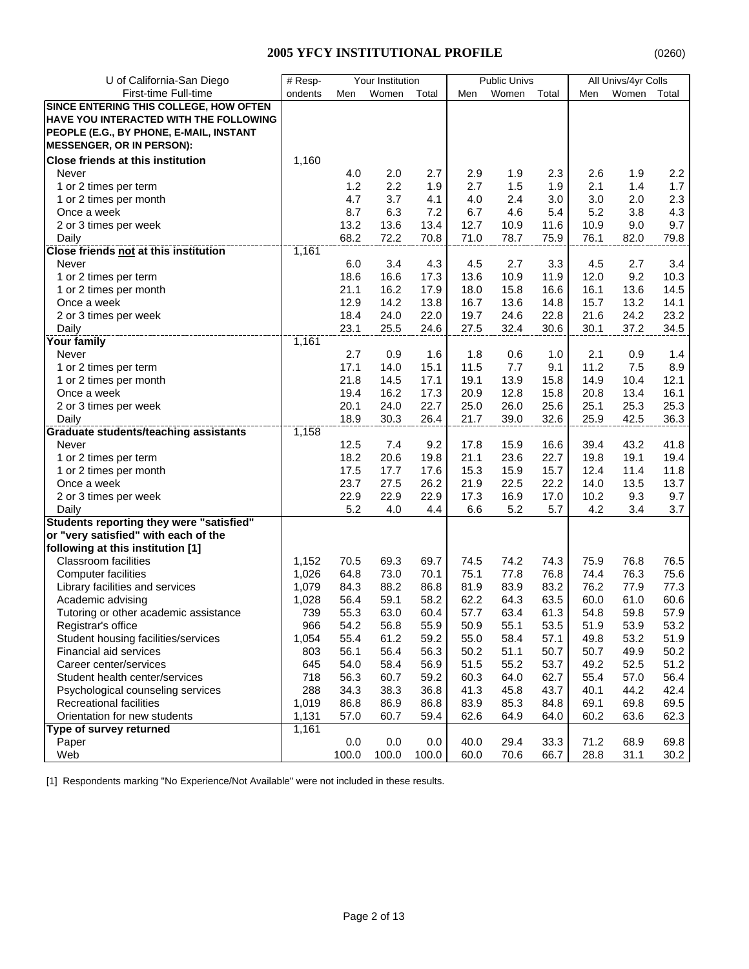| U of California-San Diego                     | $#$ Resp- |       | Your Institution |       |      | <b>Public Univs</b> |       |      | All Univs/4yr Colls |       |
|-----------------------------------------------|-----------|-------|------------------|-------|------|---------------------|-------|------|---------------------|-------|
| First-time Full-time                          | ondents   | Men   | Women            | Total | Men  | Women               | Total | Men  | Women               | Total |
| SINCE ENTERING THIS COLLEGE, HOW OFTEN        |           |       |                  |       |      |                     |       |      |                     |       |
| <b>HAVE YOU INTERACTED WITH THE FOLLOWING</b> |           |       |                  |       |      |                     |       |      |                     |       |
| PEOPLE (E.G., BY PHONE, E-MAIL, INSTANT       |           |       |                  |       |      |                     |       |      |                     |       |
| <b>MESSENGER, OR IN PERSON):</b>              |           |       |                  |       |      |                     |       |      |                     |       |
| <b>Close friends at this institution</b>      | 1,160     |       |                  |       |      |                     |       |      |                     |       |
| Never                                         |           | 4.0   | 2.0              | 2.7   | 2.9  | 1.9                 | 2.3   | 2.6  | 1.9                 | 2.2   |
| 1 or 2 times per term                         |           | 1.2   | 2.2              | 1.9   | 2.7  | 1.5                 | 1.9   | 2.1  | 1.4                 | 1.7   |
| 1 or 2 times per month                        |           | 4.7   | 3.7              | 4.1   | 4.0  | 2.4                 | 3.0   | 3.0  | 2.0                 | 2.3   |
| Once a week                                   |           | 8.7   | 6.3              | 7.2   | 6.7  | 4.6                 | 5.4   | 5.2  | 3.8                 | 4.3   |
| 2 or 3 times per week                         |           | 13.2  | 13.6             | 13.4  | 12.7 | 10.9                | 11.6  | 10.9 | 9.0                 | 9.7   |
| Daily                                         |           | 68.2  | 72.2             | 70.8  | 71.0 | 78.7                | 75.9  | 76.1 | 82.0                | 79.8  |
| <b>Close friends not at this institution</b>  | 1,161     |       |                  |       |      |                     |       |      |                     |       |
| Never                                         |           | 6.0   | 3.4              | 4.3   | 4.5  | 2.7                 | 3.3   | 4.5  | 2.7                 | 3.4   |
| 1 or 2 times per term                         |           | 18.6  | 16.6             | 17.3  | 13.6 | 10.9                | 11.9  | 12.0 | 9.2                 | 10.3  |
| 1 or 2 times per month                        |           | 21.1  | 16.2             | 17.9  | 18.0 | 15.8                | 16.6  | 16.1 | 13.6                | 14.5  |
| Once a week                                   |           | 12.9  | 14.2             | 13.8  | 16.7 | 13.6                | 14.8  | 15.7 | 13.2                | 14.1  |
| 2 or 3 times per week                         |           | 18.4  | 24.0             | 22.0  | 19.7 | 24.6                | 22.8  | 21.6 | 24.2                | 23.2  |
| Daily                                         |           | 23.1  | 25.5             | 24.6  | 27.5 | 32.4                | 30.6  | 30.1 | 37.2                | 34.5  |
| <b>Your family</b>                            | 1,161     |       |                  |       |      |                     |       |      |                     |       |
| Never                                         |           | 2.7   | 0.9              | 1.6   | 1.8  | 0.6                 | 1.0   | 2.1  | 0.9                 | 1.4   |
| 1 or 2 times per term                         |           | 17.1  | 14.0             | 15.1  | 11.5 | 7.7                 | 9.1   | 11.2 | 7.5                 | 8.9   |
| 1 or 2 times per month                        |           | 21.8  | 14.5             | 17.1  | 19.1 | 13.9                | 15.8  | 14.9 | 10.4                | 12.1  |
| Once a week                                   |           | 19.4  | 16.2             | 17.3  | 20.9 | 12.8                | 15.8  | 20.8 | 13.4                | 16.1  |
| 2 or 3 times per week                         |           | 20.1  | 24.0             | 22.7  | 25.0 | 26.0                | 25.6  | 25.1 | 25.3                | 25.3  |
| Daily                                         |           | 18.9  | 30.3             | 26.4  | 21.7 | 39.0                | 32.6  | 25.9 | 42.5                | 36.3  |
| <b>Graduate students/teaching assistants</b>  | 1,158     |       |                  |       |      |                     |       |      |                     |       |
| Never                                         |           | 12.5  | 7.4              | 9.2   | 17.8 | 15.9                | 16.6  | 39.4 | 43.2                | 41.8  |
| 1 or 2 times per term                         |           | 18.2  | 20.6             | 19.8  | 21.1 | 23.6                | 22.7  | 19.8 | 19.1                | 19.4  |
| 1 or 2 times per month                        |           | 17.5  | 17.7             | 17.6  | 15.3 | 15.9                | 15.7  | 12.4 | 11.4                | 11.8  |
| Once a week                                   |           | 23.7  | 27.5             | 26.2  | 21.9 | 22.5                | 22.2  | 14.0 | 13.5                | 13.7  |
| 2 or 3 times per week                         |           | 22.9  | 22.9             | 22.9  | 17.3 | 16.9                | 17.0  | 10.2 | 9.3                 | 9.7   |
| Daily                                         |           | 5.2   | 4.0              | 4.4   | 6.6  | 5.2                 | 5.7   | 4.2  | 3.4                 | 3.7   |
| Students reporting they were "satisfied"      |           |       |                  |       |      |                     |       |      |                     |       |
| or "very satisfied" with each of the          |           |       |                  |       |      |                     |       |      |                     |       |
| following at this institution [1]             |           |       |                  |       |      |                     |       |      |                     |       |
| <b>Classroom facilities</b>                   | 1,152     | 70.5  | 69.3             | 69.7  | 74.5 | 74.2                | 74.3  | 75.9 | 76.8                | 76.5  |
| <b>Computer facilities</b>                    | 1,026     | 64.8  | 73.0             | 70.1  | 75.1 | 77.8                | 76.8  | 74.4 | 76.3                | 75.6  |
| Library facilities and services               | 1,079     | 84.3  | 88.2             | 86.8  | 81.9 | 83.9                | 83.2  | 76.2 | 77.9                | 77.3  |
| Academic advising                             | 1,028     | 56.4  | 59.1             | 58.2  | 62.2 | 64.3                | 63.5  | 60.0 | 61.0                | 60.6  |
| Tutoring or other academic assistance         | 739       | 55.3  | 63.0             | 60.4  | 57.7 | 63.4                | 61.3  | 54.8 | 59.8                | 57.9  |
| Registrar's office                            | 966       | 54.2  | 56.8             | 55.9  | 50.9 | 55.1                | 53.5  | 51.9 | 53.9                | 53.2  |
| Student housing facilities/services           | 1,054     | 55.4  | 61.2             | 59.2  | 55.0 | 58.4                | 57.1  | 49.8 | 53.2                | 51.9  |
| Financial aid services                        | 803       | 56.1  | 56.4             | 56.3  | 50.2 | 51.1                | 50.7  | 50.7 | 49.9                | 50.2  |
| Career center/services                        | 645       | 54.0  | 58.4             | 56.9  | 51.5 | 55.2                | 53.7  | 49.2 | 52.5                | 51.2  |
| Student health center/services                | 718       | 56.3  | 60.7             | 59.2  | 60.3 | 64.0                | 62.7  | 55.4 | 57.0                | 56.4  |
| Psychological counseling services             | 288       | 34.3  | 38.3             | 36.8  | 41.3 | 45.8                | 43.7  | 40.1 | 44.2                | 42.4  |
| <b>Recreational facilities</b>                | 1,019     | 86.8  | 86.9             | 86.8  | 83.9 | 85.3                | 84.8  | 69.1 | 69.8                | 69.5  |
| Orientation for new students                  | 1,131     | 57.0  | 60.7             | 59.4  | 62.6 | 64.9                | 64.0  | 60.2 | 63.6                | 62.3  |
| Type of survey returned                       | 1,161     |       |                  |       |      |                     |       |      |                     |       |
| Paper                                         |           | 0.0   | 0.0              | 0.0   | 40.0 | 29.4                | 33.3  | 71.2 | 68.9                | 69.8  |
| Web                                           |           | 100.0 | 100.0            | 100.0 | 60.0 | 70.6                | 66.7  | 28.8 | 31.1                | 30.2  |

[1] Respondents marking "No Experience/Not Available" were not included in these results.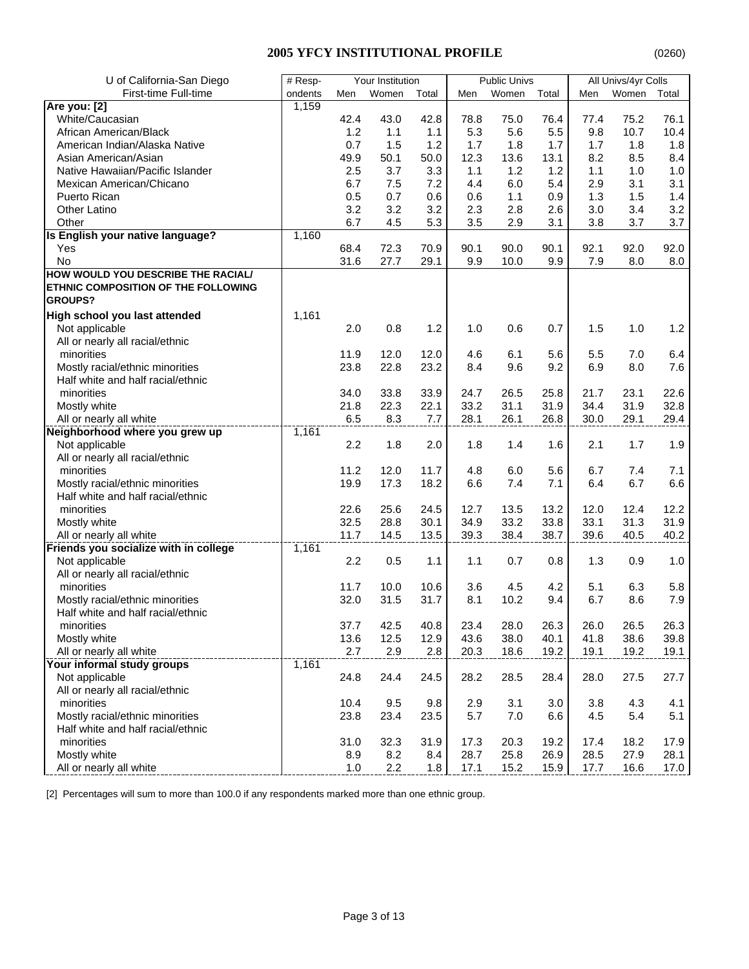# **2005 YFCY INSTITUTIONAL PROFILE**

| U of California-San Diego             | # Resp-<br>Your Institution |      |       | <b>Public Univs</b> |      | All Univs/4yr Colls |       |      |       |       |
|---------------------------------------|-----------------------------|------|-------|---------------------|------|---------------------|-------|------|-------|-------|
| First-time Full-time                  | ondents                     | Men  | Women | Total               | Men  | Women               | Total | Men  | Women | Total |
| Are you: [2]                          | 1,159                       |      |       |                     |      |                     |       |      |       |       |
| White/Caucasian                       |                             | 42.4 | 43.0  | 42.8                | 78.8 | 75.0                | 76.4  | 77.4 | 75.2  | 76.1  |
| African American/Black                |                             | 1.2  | 1.1   | 1.1                 | 5.3  | 5.6                 | 5.5   | 9.8  | 10.7  | 10.4  |
| American Indian/Alaska Native         |                             | 0.7  | 1.5   | 1.2                 | 1.7  | 1.8                 | 1.7   | 1.7  | 1.8   | 1.8   |
| Asian American/Asian                  |                             | 49.9 | 50.1  | 50.0                | 12.3 | 13.6                | 13.1  | 8.2  | 8.5   | 8.4   |
| Native Hawaiian/Pacific Islander      |                             | 2.5  | 3.7   | 3.3                 | 1.1  | 1.2                 | 1.2   | 1.1  | 1.0   | 1.0   |
| Mexican American/Chicano              |                             | 6.7  | 7.5   | 7.2                 | 4.4  | 6.0                 | 5.4   | 2.9  | 3.1   | 3.1   |
| Puerto Rican                          |                             | 0.5  | 0.7   | 0.6                 | 0.6  | 1.1                 | 0.9   | 1.3  | 1.5   | 1.4   |
| <b>Other Latino</b>                   |                             | 3.2  | 3.2   | 3.2                 | 2.3  | 2.8                 | 2.6   | 3.0  | 3.4   | 3.2   |
| Other                                 |                             | 6.7  | 4.5   | 5.3                 | 3.5  | 2.9                 | 3.1   | 3.8  | 3.7   | 3.7   |
| Is English your native language?      | 1,160                       |      |       |                     |      |                     |       |      |       |       |
| Yes                                   |                             | 68.4 | 72.3  | 70.9                | 90.1 | 90.0                | 90.1  | 92.1 | 92.0  | 92.0  |
| No                                    |                             | 31.6 | 27.7  | 29.1                | 9.9  | 10.0                | 9.9   | 7.9  | 8.0   | 8.0   |
| HOW WOULD YOU DESCRIBE THE RACIAL/    |                             |      |       |                     |      |                     |       |      |       |       |
| ETHNIC COMPOSITION OF THE FOLLOWING   |                             |      |       |                     |      |                     |       |      |       |       |
| <b>GROUPS?</b>                        |                             |      |       |                     |      |                     |       |      |       |       |
| High school you last attended         | 1,161                       |      |       |                     |      |                     |       |      |       |       |
| Not applicable                        |                             | 2.0  | 0.8   | 1.2                 | 1.0  | 0.6                 | 0.7   | 1.5  | 1.0   | 1.2   |
| All or nearly all racial/ethnic       |                             |      |       |                     |      |                     |       |      |       |       |
| minorities                            |                             | 11.9 | 12.0  | 12.0                | 4.6  | 6.1                 | 5.6   | 5.5  | 7.0   | 6.4   |
| Mostly racial/ethnic minorities       |                             | 23.8 | 22.8  | 23.2                | 8.4  | 9.6                 | 9.2   | 6.9  | 8.0   | 7.6   |
| Half white and half racial/ethnic     |                             |      |       |                     |      |                     |       |      |       |       |
| minorities                            |                             | 34.0 | 33.8  | 33.9                | 24.7 | 26.5                | 25.8  | 21.7 | 23.1  | 22.6  |
| Mostly white                          |                             | 21.8 | 22.3  | 22.1                | 33.2 | 31.1                | 31.9  | 34.4 | 31.9  | 32.8  |
| All or nearly all white               |                             | 6.5  | 8.3   | 7.7                 | 28.1 | 26.1                | 26.8  | 30.0 | 29.1  | 29.4  |
| Neighborhood where you grew up        | 1,161                       |      |       |                     |      |                     |       |      |       |       |
| Not applicable                        |                             | 2.2  | 1.8   | 2.0                 | 1.8  | 1.4                 | 1.6   | 2.1  | 1.7   | 1.9   |
| All or nearly all racial/ethnic       |                             |      |       |                     |      |                     |       |      |       |       |
| minorities                            |                             | 11.2 | 12.0  | 11.7                | 4.8  | 6.0                 | 5.6   | 6.7  | 7.4   | 7.1   |
| Mostly racial/ethnic minorities       |                             | 19.9 | 17.3  | 18.2                | 6.6  | 7.4                 | 7.1   | 6.4  | 6.7   | 6.6   |
| Half white and half racial/ethnic     |                             |      |       |                     |      |                     |       |      |       |       |
| minorities                            |                             | 22.6 | 25.6  | 24.5                | 12.7 | 13.5                | 13.2  | 12.0 | 12.4  | 12.2  |
| Mostly white                          |                             | 32.5 | 28.8  | 30.1                | 34.9 | 33.2                | 33.8  | 33.1 | 31.3  | 31.9  |
| All or nearly all white               |                             | 11.7 | 14.5  | 13.5                | 39.3 | 38.4                | 38.7  | 39.6 | 40.5  | 40.2  |
| Friends you socialize with in college | 1,161                       |      |       |                     |      |                     |       |      |       |       |
| Not applicable                        |                             | 2.2  | 0.5   | 1.1                 | 1.1  | 0.7                 | 0.8   | 1.3  | 0.9   | 1.0   |
| All or nearly all racial/ethnic       |                             |      |       |                     |      |                     |       |      |       |       |
| minorities                            |                             | 11.7 | 10.0  | 10.6                | 3.6  | 4.5                 | 4.2   | 5.1  | 6.3   | 5.8   |
| Mostly racial/ethnic minorities       |                             | 32.0 | 31.5  | 31.7                | 8.1  | 10.2                | 9.4   | 6.7  | 8.6   | 7.9   |
| Half white and half racial/ethnic     |                             |      |       |                     |      |                     |       |      |       |       |
| minorities                            |                             | 37.7 | 42.5  | 40.8                | 23.4 | 28.0                | 26.3  | 26.0 | 26.5  | 26.3  |
| Mostly white                          |                             | 13.6 | 12.5  | 12.9                | 43.6 | 38.0                | 40.1  | 41.8 | 38.6  | 39.8  |
| All or nearly all white               |                             | 2.7  | 2.9   | 2.8                 | 20.3 | 18.6                | 19.2  | 19.1 | 19.2  | 19.1  |
| Your informal study groups            | 1,161                       |      |       |                     |      |                     |       |      |       |       |
| Not applicable                        |                             | 24.8 | 24.4  | 24.5                | 28.2 | 28.5                | 28.4  | 28.0 | 27.5  | 27.7  |
| All or nearly all racial/ethnic       |                             |      |       |                     |      |                     |       |      |       |       |
| minorities                            |                             | 10.4 | 9.5   | 9.8                 | 2.9  | 3.1                 | 3.0   | 3.8  | 4.3   | 4.1   |
| Mostly racial/ethnic minorities       |                             | 23.8 | 23.4  | 23.5                | 5.7  | 7.0                 | 6.6   | 4.5  | 5.4   | 5.1   |
| Half white and half racial/ethnic     |                             |      |       |                     |      |                     |       |      |       |       |
| minorities                            |                             | 31.0 | 32.3  | 31.9                | 17.3 | 20.3                | 19.2  | 17.4 | 18.2  | 17.9  |
| Mostly white                          |                             | 8.9  | 8.2   | 8.4                 | 28.7 | 25.8                | 26.9  | 28.5 | 27.9  | 28.1  |
| All or nearly all white               |                             | 1.0  | 2.2   | 1.8                 | 17.1 | 15.2                | 15.9  | 17.7 | 16.6  | 17.0  |

[2] Percentages will sum to more than 100.0 if any respondents marked more than one ethnic group.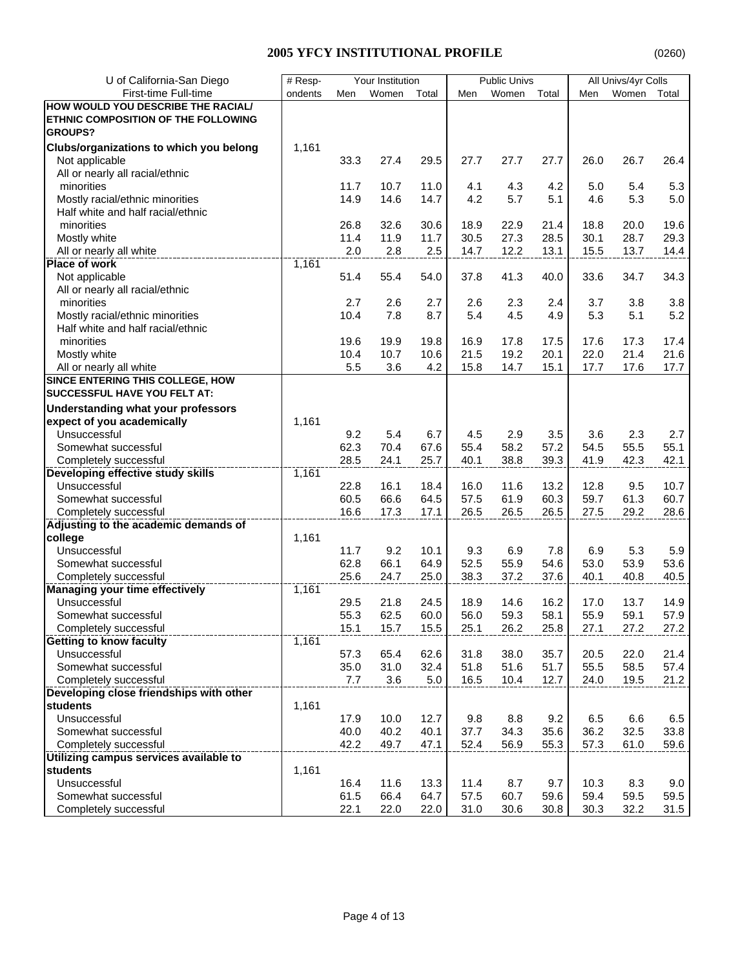| U of California-San Diego                                               | # Resp- |      | Your Institution |              |      | <b>Public Univs</b> |              |      | All Univs/4yr Colls |       |
|-------------------------------------------------------------------------|---------|------|------------------|--------------|------|---------------------|--------------|------|---------------------|-------|
| First-time Full-time                                                    | ondents | Men  | Women            | Total        | Men  | Women               | Total        | Men  | Women               | Total |
| HOW WOULD YOU DESCRIBE THE RACIAL/                                      |         |      |                  |              |      |                     |              |      |                     |       |
| ETHNIC COMPOSITION OF THE FOLLOWING                                     |         |      |                  |              |      |                     |              |      |                     |       |
| <b>GROUPS?</b>                                                          |         |      |                  |              |      |                     |              |      |                     |       |
| Clubs/organizations to which you belong                                 | 1,161   |      |                  |              |      |                     |              |      |                     |       |
| Not applicable                                                          |         | 33.3 | 27.4             | 29.5         | 27.7 | 27.7                | 27.7         | 26.0 | 26.7                | 26.4  |
| All or nearly all racial/ethnic                                         |         |      |                  |              |      |                     |              |      |                     |       |
| minorities                                                              |         | 11.7 | 10.7             | 11.0         | 4.1  | 4.3                 | 4.2          | 5.0  | 5.4                 | 5.3   |
| Mostly racial/ethnic minorities                                         |         | 14.9 | 14.6             | 14.7         | 4.2  | 5.7                 | 5.1          | 4.6  | 5.3                 | 5.0   |
| Half white and half racial/ethnic                                       |         |      |                  |              |      |                     |              |      |                     |       |
| minorities                                                              |         | 26.8 | 32.6             | 30.6         | 18.9 | 22.9                | 21.4         | 18.8 | 20.0                | 19.6  |
| Mostly white                                                            |         | 11.4 | 11.9             | 11.7         | 30.5 | 27.3                | 28.5         | 30.1 | 28.7                | 29.3  |
| All or nearly all white                                                 |         | 2.0  | 2.8              | 2.5          | 14.7 | 12.2                | 13.1         | 15.5 | 13.7                | 14.4  |
| <b>Place of work</b>                                                    | 1,161   |      |                  |              |      |                     |              |      |                     |       |
| Not applicable                                                          |         | 51.4 | 55.4             | 54.0         | 37.8 | 41.3                | 40.0         | 33.6 | 34.7                | 34.3  |
| All or nearly all racial/ethnic                                         |         |      |                  |              |      |                     |              |      |                     |       |
| minorities                                                              |         | 2.7  | 2.6              | 2.7          | 2.6  | 2.3                 | 2.4          | 3.7  | 3.8                 | 3.8   |
| Mostly racial/ethnic minorities                                         |         | 10.4 | 7.8              | 8.7          | 5.4  | 4.5                 | 4.9          | 5.3  | 5.1                 | 5.2   |
| Half white and half racial/ethnic                                       |         |      |                  |              |      |                     |              |      |                     |       |
| minorities                                                              |         | 19.6 | 19.9             | 19.8         | 16.9 | 17.8                | 17.5         | 17.6 | 17.3                | 17.4  |
| Mostly white                                                            |         | 10.4 | 10.7             | 10.6         | 21.5 | 19.2                | 20.1         | 22.0 | 21.4                | 21.6  |
| All or nearly all white                                                 |         | 5.5  | 3.6              | 4.2          | 15.8 | 14.7                | 15.1         | 17.7 | 17.6                | 17.7  |
| SINCE ENTERING THIS COLLEGE, HOW                                        |         |      |                  |              |      |                     |              |      |                     |       |
| SUCCESSFUL HAVE YOU FELT AT:                                            |         |      |                  |              |      |                     |              |      |                     |       |
|                                                                         |         |      |                  |              |      |                     |              |      |                     |       |
| <b>Understanding what your professors</b><br>expect of you academically | 1,161   |      |                  |              |      |                     |              |      |                     |       |
| Unsuccessful                                                            |         | 9.2  | 5.4              | 6.7          | 4.5  | 2.9                 | 3.5          | 3.6  | 2.3                 | 2.7   |
| Somewhat successful                                                     |         | 62.3 | 70.4             |              | 55.4 | 58.2                |              | 54.5 | 55.5                | 55.1  |
|                                                                         |         | 28.5 |                  | 67.6<br>25.7 | 40.1 | 38.8                | 57.2<br>39.3 | 41.9 | 42.3                |       |
| Completely successful<br>Developing effective study skills              | 1,161   |      | 24.1             |              |      |                     |              |      |                     | 42.1  |
| Unsuccessful                                                            |         | 22.8 | 16.1             | 18.4         | 16.0 | 11.6                | 13.2         | 12.8 | 9.5                 | 10.7  |
| Somewhat successful                                                     |         | 60.5 | 66.6             | 64.5         | 57.5 | 61.9                | 60.3         | 59.7 | 61.3                | 60.7  |
| Completely successful                                                   |         | 16.6 | 17.3             | 17.1         | 26.5 | 26.5                | 26.5         | 27.5 | 29.2                | 28.6  |
| Adjusting to the academic demands of                                    |         |      |                  |              |      |                     |              |      |                     |       |
| college                                                                 | 1,161   |      |                  |              |      |                     |              |      |                     |       |
| Unsuccessful                                                            |         | 11.7 | 9.2              | 10.1         | 9.3  | 6.9                 | 7.8          | 6.9  | 5.3                 | 5.9   |
| Somewhat successful                                                     |         | 62.8 | 66.1             | 64.9         | 52.5 | 55.9                | 54.6         | 53.0 | 53.9                | 53.6  |
| Completely successful                                                   |         | 25.6 | 24.7             | 25.0         | 38.3 | 37.2                | 37.6         | 40.1 | 40.8                | 40.5  |
| <b>Managing your time effectively</b>                                   | 1,161   |      |                  |              |      |                     |              |      |                     |       |
| Unsuccessful                                                            |         | 29.5 | 21.8             | 24.5         | 18.9 | 14.6                | 16.2         | 17.0 | 13.7                | 14.9  |
| Somewhat successful                                                     |         | 55.3 | 62.5             | 60.0         | 56.0 | 59.3                | 58.1         | 55.9 | 59.1                | 57.9  |
| Completely successful                                                   |         | 15.1 | 15.7             | 15.5         | 25.1 | 26.2                | 25.8         | 27.1 | 27.2                | 27.2  |
| Getting to know faculty                                                 | 1,161   |      |                  |              |      |                     |              |      |                     |       |
| Unsuccessful                                                            |         | 57.3 | 65.4             | 62.6         | 31.8 | 38.0                | 35.7         | 20.5 | 22.0                | 21.4  |
| Somewhat successful                                                     |         | 35.0 | 31.0             | 32.4         | 51.8 | 51.6                | 51.7         | 55.5 | 58.5                | 57.4  |
| Completely successful                                                   |         | 7.7  | 3.6              | 5.0          | 16.5 | 10.4                | 12.7         | 24.0 | 19.5                | 21.2  |
| Developing close friendships with other                                 |         |      |                  |              |      |                     |              |      |                     |       |
| students                                                                | 1,161   |      |                  |              |      |                     |              |      |                     |       |
| Unsuccessful                                                            |         | 17.9 | 10.0             | 12.7         | 9.8  | 8.8                 | 9.2          | 6.5  | 6.6                 | 6.5   |
| Somewhat successful                                                     |         | 40.0 | 40.2             | 40.1         | 37.7 | 34.3                | 35.6         | 36.2 | 32.5                | 33.8  |
| Completely successful                                                   |         | 42.2 | 49.7             | 47.1         | 52.4 | 56.9                | 55.3         | 57.3 | 61.0                | 59.6  |
| Utilizing campus services available to                                  |         |      |                  |              |      |                     |              |      |                     |       |
| students                                                                | 1,161   |      |                  |              |      |                     |              |      |                     |       |
| Unsuccessful                                                            |         | 16.4 | 11.6             | 13.3         | 11.4 | 8.7                 | 9.7          | 10.3 | 8.3                 | 9.0   |
| Somewhat successful                                                     |         | 61.5 | 66.4             | 64.7         | 57.5 | 60.7                | 59.6         | 59.4 | 59.5                | 59.5  |
| Completely successful                                                   |         | 22.1 | 22.0             | 22.0         | 31.0 | 30.6                | 30.8         | 30.3 | 32.2                | 31.5  |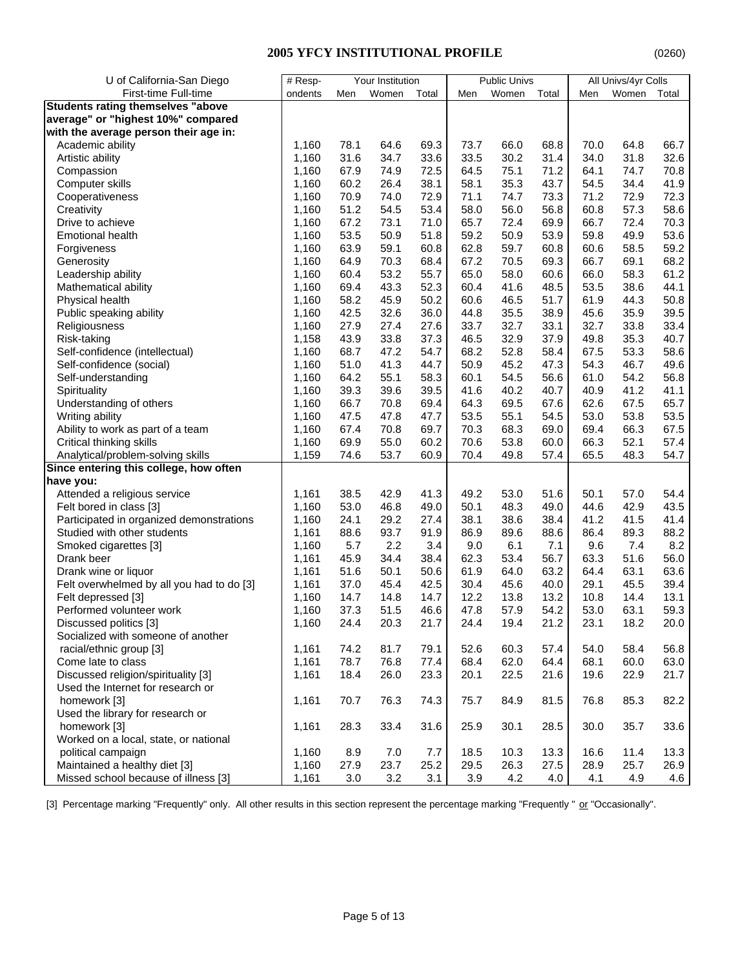| U of California-San Diego                 | # Resp- |      | Your Institution |       |      | <b>Public Univs</b> |       |      | All Univs/4yr Colls |       |
|-------------------------------------------|---------|------|------------------|-------|------|---------------------|-------|------|---------------------|-------|
| First-time Full-time                      | ondents | Men  | Women            | Total | Men  | Women               | Total | Men  | Women               | Total |
| <b>Students rating themselves "above</b>  |         |      |                  |       |      |                     |       |      |                     |       |
| average" or "highest 10%" compared        |         |      |                  |       |      |                     |       |      |                     |       |
| with the average person their age in:     |         |      |                  |       |      |                     |       |      |                     |       |
| Academic ability                          | 1,160   | 78.1 | 64.6             | 69.3  | 73.7 | 66.0                | 68.8  | 70.0 | 64.8                | 66.7  |
| Artistic ability                          | 1,160   | 31.6 | 34.7             | 33.6  | 33.5 | 30.2                | 31.4  | 34.0 | 31.8                | 32.6  |
| Compassion                                | 1,160   | 67.9 | 74.9             | 72.5  | 64.5 | 75.1                | 71.2  | 64.1 | 74.7                | 70.8  |
| Computer skills                           | 1,160   | 60.2 | 26.4             | 38.1  | 58.1 | 35.3                | 43.7  | 54.5 | 34.4                | 41.9  |
| Cooperativeness                           | 1,160   | 70.9 | 74.0             | 72.9  | 71.1 | 74.7                | 73.3  | 71.2 | 72.9                | 72.3  |
| Creativity                                | 1,160   | 51.2 | 54.5             | 53.4  | 58.0 | 56.0                | 56.8  | 60.8 | 57.3                | 58.6  |
| Drive to achieve                          | 1,160   | 67.2 | 73.1             | 71.0  | 65.7 | 72.4                | 69.9  | 66.7 | 72.4                | 70.3  |
| <b>Emotional health</b>                   | 1,160   | 53.5 | 50.9             | 51.8  | 59.2 | 50.9                | 53.9  | 59.8 | 49.9                | 53.6  |
| Forgiveness                               | 1,160   | 63.9 | 59.1             | 60.8  | 62.8 | 59.7                | 60.8  | 60.6 | 58.5                | 59.2  |
| Generosity                                | 1,160   | 64.9 | 70.3             | 68.4  | 67.2 | 70.5                | 69.3  | 66.7 | 69.1                | 68.2  |
| Leadership ability                        | 1,160   | 60.4 | 53.2             | 55.7  | 65.0 | 58.0                | 60.6  | 66.0 | 58.3                | 61.2  |
| Mathematical ability                      | 1,160   | 69.4 | 43.3             | 52.3  | 60.4 | 41.6                | 48.5  | 53.5 | 38.6                | 44.1  |
| Physical health                           | 1,160   | 58.2 | 45.9             | 50.2  | 60.6 | 46.5                | 51.7  | 61.9 | 44.3                | 50.8  |
| Public speaking ability                   | 1,160   | 42.5 | 32.6             | 36.0  | 44.8 | 35.5                | 38.9  | 45.6 | 35.9                | 39.5  |
| Religiousness                             | 1,160   | 27.9 | 27.4             | 27.6  | 33.7 | 32.7                | 33.1  | 32.7 | 33.8                | 33.4  |
| Risk-taking                               | 1,158   | 43.9 | 33.8             | 37.3  | 46.5 | 32.9                | 37.9  | 49.8 | 35.3                | 40.7  |
| Self-confidence (intellectual)            | 1,160   | 68.7 | 47.2             | 54.7  | 68.2 | 52.8                | 58.4  | 67.5 | 53.3                | 58.6  |
| Self-confidence (social)                  | 1,160   | 51.0 | 41.3             | 44.7  | 50.9 | 45.2                | 47.3  | 54.3 | 46.7                | 49.6  |
| Self-understanding                        | 1,160   | 64.2 | 55.1             | 58.3  | 60.1 | 54.5                | 56.6  | 61.0 | 54.2                | 56.8  |
| Spirituality                              | 1,160   | 39.3 | 39.6             | 39.5  | 41.6 | 40.2                | 40.7  | 40.9 | 41.2                | 41.1  |
| Understanding of others                   | 1,160   | 66.7 | 70.8             | 69.4  | 64.3 | 69.5                | 67.6  | 62.6 | 67.5                | 65.7  |
| Writing ability                           | 1,160   | 47.5 | 47.8             | 47.7  | 53.5 | 55.1                | 54.5  | 53.0 | 53.8                | 53.5  |
| Ability to work as part of a team         | 1,160   | 67.4 | 70.8             | 69.7  | 70.3 | 68.3                | 69.0  | 69.4 | 66.3                | 67.5  |
| Critical thinking skills                  | 1,160   | 69.9 | 55.0             | 60.2  | 70.6 | 53.8                | 60.0  | 66.3 | 52.1                | 57.4  |
| Analytical/problem-solving skills         | 1,159   | 74.6 | 53.7             | 60.9  | 70.4 | 49.8                | 57.4  | 65.5 | 48.3                | 54.7  |
| Since entering this college, how often    |         |      |                  |       |      |                     |       |      |                     |       |
| have you:                                 |         |      |                  |       |      |                     |       |      |                     |       |
| Attended a religious service              | 1,161   | 38.5 | 42.9             | 41.3  | 49.2 | 53.0                | 51.6  | 50.1 | 57.0                | 54.4  |
| Felt bored in class [3]                   | 1,160   | 53.0 | 46.8             | 49.0  | 50.1 | 48.3                | 49.0  | 44.6 | 42.9                | 43.5  |
| Participated in organized demonstrations  | 1,160   | 24.1 | 29.2             | 27.4  | 38.1 | 38.6                | 38.4  | 41.2 | 41.5                | 41.4  |
| Studied with other students               | 1,161   | 88.6 | 93.7             | 91.9  | 86.9 | 89.6                | 88.6  | 86.4 | 89.3                | 88.2  |
| Smoked cigarettes [3]                     | 1,160   | 5.7  | 2.2              | 3.4   | 9.0  | 6.1                 | 7.1   | 9.6  | 7.4                 | 8.2   |
| Drank beer                                | 1,161   | 45.9 | 34.4             | 38.4  | 62.3 | 53.4                | 56.7  | 63.3 | 51.6                | 56.0  |
| Drank wine or liquor                      | 1,161   | 51.6 | 50.1             | 50.6  | 61.9 | 64.0                | 63.2  | 64.4 | 63.1                | 63.6  |
| Felt overwhelmed by all you had to do [3] | 1,161   | 37.0 | 45.4             | 42.5  | 30.4 | 45.6                | 40.0  | 29.1 | 45.5                | 39.4  |
| Felt depressed [3]                        | 1,160   | 14.7 | 14.8             | 14.7  | 12.2 | 13.8                | 13.2  | 10.8 | 14.4                | 13.1  |
| Performed volunteer work                  | 1,160   | 37.3 | 51.5             | 46.6  | 47.8 | 57.9                | 54.2  | 53.0 | 63.1                | 59.3  |
| Discussed politics [3]                    | 1,160   | 24.4 | 20.3             | 21.7  | 24.4 | 19.4                | 21.2  | 23.1 | 18.2                | 20.0  |
| Socialized with someone of another        |         |      |                  |       |      |                     |       |      |                     |       |
| racial/ethnic group [3]                   | 1,161   | 74.2 | 81.7             | 79.1  | 52.6 | 60.3                | 57.4  | 54.0 | 58.4                | 56.8  |
| Come late to class                        | 1,161   | 78.7 | 76.8             | 77.4  | 68.4 | 62.0                | 64.4  | 68.1 | 60.0                | 63.0  |
| Discussed religion/spirituality [3]       | 1,161   | 18.4 | 26.0             | 23.3  | 20.1 | 22.5                | 21.6  | 19.6 | 22.9                | 21.7  |
| Used the Internet for research or         |         |      |                  |       |      |                     |       |      |                     |       |
| homework [3]                              | 1,161   | 70.7 | 76.3             | 74.3  | 75.7 | 84.9                | 81.5  | 76.8 | 85.3                | 82.2  |
| Used the library for research or          |         |      |                  |       |      |                     |       |      |                     |       |
| homework [3]                              | 1,161   | 28.3 | 33.4             | 31.6  | 25.9 | 30.1                | 28.5  | 30.0 | 35.7                | 33.6  |
| Worked on a local, state, or national     |         |      |                  |       |      |                     |       |      |                     |       |
| political campaign                        | 1,160   | 8.9  | 7.0              | 7.7   | 18.5 | 10.3                | 13.3  | 16.6 | 11.4                | 13.3  |
| Maintained a healthy diet [3]             | 1,160   | 27.9 | 23.7             | 25.2  | 29.5 | 26.3                | 27.5  | 28.9 | 25.7                | 26.9  |
| Missed school because of illness [3]      | 1,161   | 3.0  | 3.2              | 3.1   | 3.9  | 4.2                 | 4.0   | 4.1  | 4.9                 | 4.6   |

[3] Percentage marking "Frequently" only. All other results in this section represent the percentage marking "Frequently " or "Occasionally".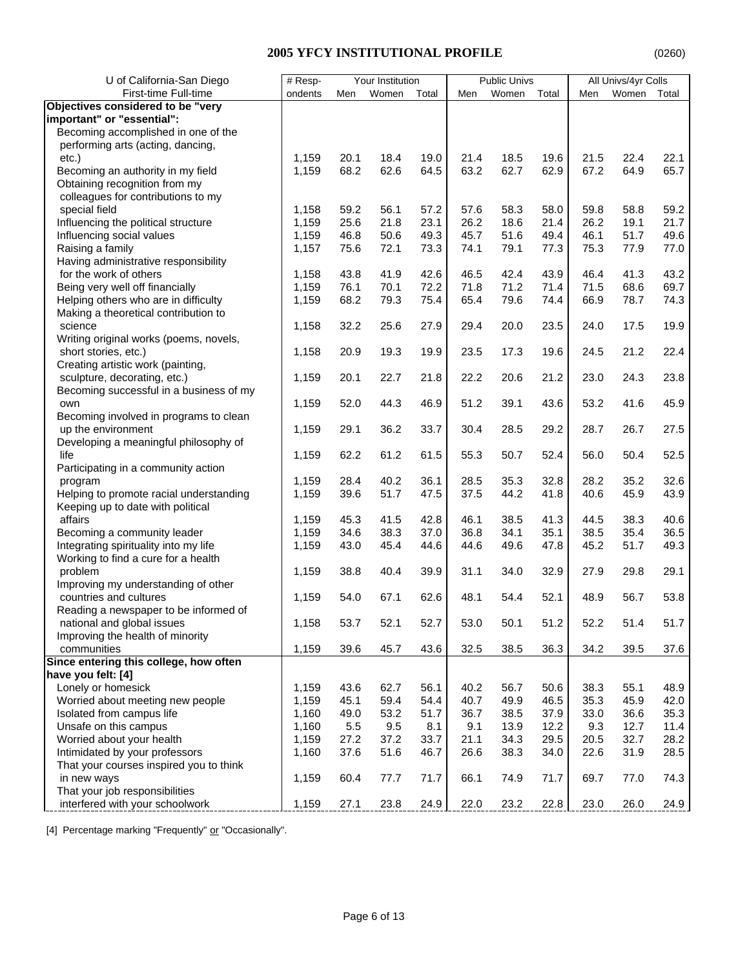| U of California-San Diego                                      | # Resp- |      | Your Institution |       |      | <b>Public Univs</b> |       |      | All Univs/4yr Colls |       |
|----------------------------------------------------------------|---------|------|------------------|-------|------|---------------------|-------|------|---------------------|-------|
| First-time Full-time                                           | ondents | Men  | Women            | Total | Men  | Women               | Total | Men  | Women               | Total |
| Objectives considered to be "very                              |         |      |                  |       |      |                     |       |      |                     |       |
| important" or "essential":                                     |         |      |                  |       |      |                     |       |      |                     |       |
| Becoming accomplished in one of the                            |         |      |                  |       |      |                     |       |      |                     |       |
| performing arts (acting, dancing,                              |         |      |                  |       |      |                     |       |      |                     |       |
| etc.)                                                          | 1.159   | 20.1 | 18.4             | 19.0  | 21.4 | 18.5                | 19.6  | 21.5 | 22.4                | 22.1  |
| Becoming an authority in my field                              | 1,159   | 68.2 | 62.6             | 64.5  | 63.2 | 62.7                | 62.9  | 67.2 | 64.9                | 65.7  |
| Obtaining recognition from my                                  |         |      |                  |       |      |                     |       |      |                     |       |
| colleagues for contributions to my                             |         |      |                  |       |      |                     |       |      |                     |       |
| special field                                                  | 1,158   | 59.2 | 56.1             | 57.2  | 57.6 | 58.3                | 58.0  | 59.8 | 58.8                | 59.2  |
| Influencing the political structure                            | 1,159   | 25.6 | 21.8             | 23.1  | 26.2 | 18.6                | 21.4  | 26.2 | 19.1                | 21.7  |
| Influencing social values                                      | 1,159   | 46.8 | 50.6             | 49.3  | 45.7 | 51.6                | 49.4  | 46.1 | 51.7                | 49.6  |
| Raising a family                                               | 1,157   | 75.6 | 72.1             | 73.3  | 74.1 | 79.1                | 77.3  | 75.3 | 77.9                | 77.0  |
| Having administrative responsibility                           |         |      |                  |       |      |                     |       |      |                     |       |
| for the work of others                                         | 1,158   | 43.8 | 41.9             | 42.6  | 46.5 | 42.4                | 43.9  | 46.4 | 41.3                | 43.2  |
| Being very well off financially                                | 1,159   | 76.1 | 70.1             | 72.2  | 71.8 | 71.2                | 71.4  | 71.5 | 68.6                | 69.7  |
| Helping others who are in difficulty                           | 1,159   | 68.2 | 79.3             | 75.4  | 65.4 | 79.6                | 74.4  | 66.9 | 78.7                | 74.3  |
| Making a theoretical contribution to                           |         |      |                  |       |      |                     |       |      |                     |       |
| science                                                        | 1,158   | 32.2 | 25.6             | 27.9  | 29.4 | 20.0                | 23.5  | 24.0 | 17.5                | 19.9  |
| Writing original works (poems, novels,<br>short stories, etc.) | 1,158   | 20.9 | 19.3             | 19.9  | 23.5 | 17.3                | 19.6  | 24.5 | 21.2                | 22.4  |
| Creating artistic work (painting,                              |         |      |                  |       |      |                     |       |      |                     |       |
| sculpture, decorating, etc.)                                   | 1,159   | 20.1 | 22.7             | 21.8  | 22.2 | 20.6                | 21.2  | 23.0 | 24.3                | 23.8  |
| Becoming successful in a business of my                        |         |      |                  |       |      |                     |       |      |                     |       |
| own                                                            | 1,159   | 52.0 | 44.3             | 46.9  | 51.2 | 39.1                | 43.6  | 53.2 | 41.6                | 45.9  |
| Becoming involved in programs to clean                         |         |      |                  |       |      |                     |       |      |                     |       |
| up the environment                                             | 1,159   | 29.1 | 36.2             | 33.7  | 30.4 | 28.5                | 29.2  | 28.7 | 26.7                | 27.5  |
| Developing a meaningful philosophy of                          |         |      |                  |       |      |                     |       |      |                     |       |
| life                                                           | 1,159   | 62.2 | 61.2             | 61.5  | 55.3 | 50.7                | 52.4  | 56.0 | 50.4                | 52.5  |
| Participating in a community action                            |         |      |                  |       |      |                     |       |      |                     |       |
| program                                                        | 1,159   | 28.4 | 40.2             | 36.1  | 28.5 | 35.3                | 32.8  | 28.2 | 35.2                | 32.6  |
| Helping to promote racial understanding                        | 1,159   | 39.6 | 51.7             | 47.5  | 37.5 | 44.2                | 41.8  | 40.6 | 45.9                | 43.9  |
| Keeping up to date with political                              |         |      |                  |       |      |                     |       |      |                     |       |
| affairs                                                        | 1,159   | 45.3 | 41.5             | 42.8  | 46.1 | 38.5                | 41.3  | 44.5 | 38.3                | 40.6  |
| Becoming a community leader                                    | 1,159   | 34.6 | 38.3             | 37.0  | 36.8 | 34.1                | 35.1  | 38.5 | 35.4                | 36.5  |
| Integrating spirituality into my life                          | 1,159   | 43.0 | 45.4             | 44.6  | 44.6 | 49.6                | 47.8  | 45.2 | 51.7                | 49.3  |
| Working to find a cure for a health                            |         |      |                  |       |      |                     |       |      |                     |       |
| problem                                                        | 1,159   | 38.8 | 40.4             | 39.9  | 31.1 | 34.0                | 32.9  | 27.9 | 29.8                | 29.1  |
| Improving my understanding of other                            |         |      |                  |       |      |                     |       |      |                     |       |
| countries and cultures                                         | 1,159   | 54.0 | 67.1             | 62.6  | 48.1 | 54.4                | 52.1  | 48.9 | 56.7                | 53.8  |
| Reading a newspaper to be informed of                          |         |      |                  |       |      |                     |       |      |                     |       |
| national and global issues                                     | 1,158   | 53.7 | 52.1             | 52.7  | 53.0 | 50.1                | 51.2  | 52.2 | 51.4                | 51.7  |
| Improving the health of minority                               |         |      |                  |       |      |                     |       |      |                     |       |
| communities                                                    | 1,159   | 39.6 | 45.7             | 43.6  | 32.5 | 38.5                | 36.3  | 34.2 | 39.5                | 37.6  |
| Since entering this college, how often                         |         |      |                  |       |      |                     |       |      |                     |       |
| have you felt: [4]                                             |         |      |                  |       |      |                     |       |      |                     |       |
| Lonely or homesick                                             | 1,159   | 43.6 | 62.7             | 56.1  | 40.2 | 56.7                | 50.6  | 38.3 | 55.1                | 48.9  |
| Worried about meeting new people                               | 1,159   | 45.1 | 59.4             | 54.4  | 40.7 | 49.9                | 46.5  | 35.3 | 45.9                | 42.0  |
| Isolated from campus life                                      | 1,160   | 49.0 | 53.2             | 51.7  | 36.7 | 38.5                | 37.9  | 33.0 | 36.6                | 35.3  |
| Unsafe on this campus                                          | 1,160   | 5.5  | 9.5              | 8.1   | 9.1  | 13.9                | 12.2  | 9.3  | 12.7                | 11.4  |
| Worried about your health                                      | 1,159   | 27.2 | 37.2             | 33.7  | 21.1 | 34.3                | 29.5  | 20.5 | 32.7                | 28.2  |
| Intimidated by your professors                                 | 1,160   | 37.6 | 51.6             | 46.7  | 26.6 | 38.3                | 34.0  | 22.6 | 31.9                | 28.5  |
| That your courses inspired you to think<br>in new ways         |         | 60.4 | 77.7             | 71.7  | 66.1 | 74.9                | 71.7  | 69.7 |                     | 74.3  |
| That your job responsibilities                                 | 1,159   |      |                  |       |      |                     |       |      | 77.0                |       |
| interfered with your schoolwork                                | 1,159   | 27.1 | 23.8             | 24.9  | 22.0 | 23.2                | 22.8  | 23.0 | 26.0                | 24.9  |
|                                                                |         |      |                  |       |      |                     |       |      |                     |       |

[4] Percentage marking "Frequently" or "Occasionally".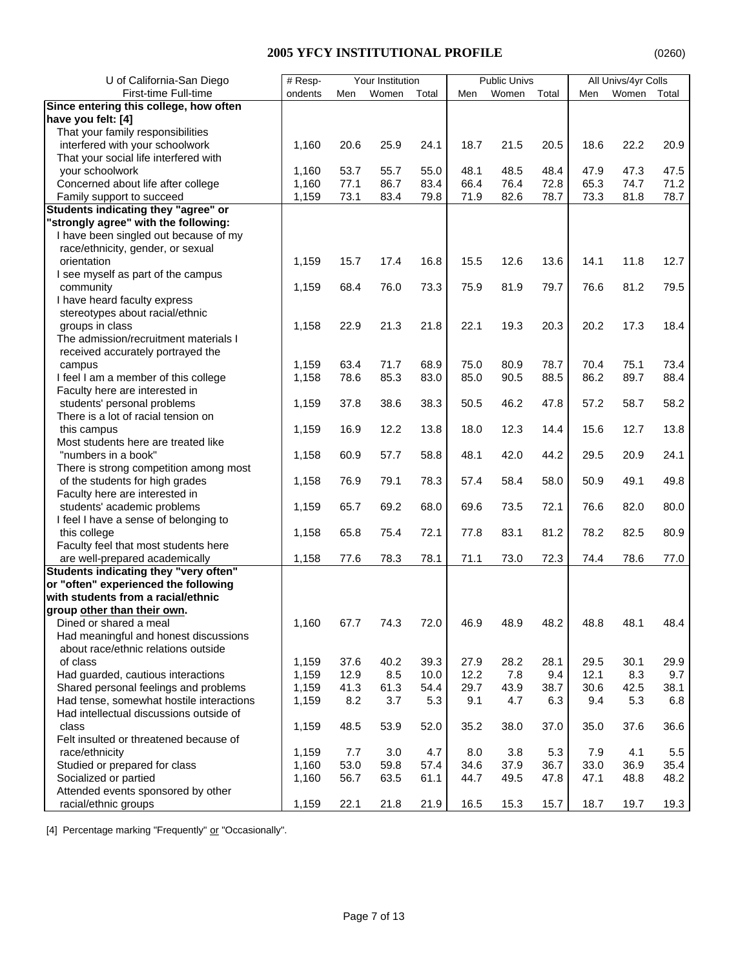| U of California-San Diego                                              | # Resp- |      | Your Institution |       |      | <b>Public Univs</b> |       |      | All Univs/4yr Colls |       |
|------------------------------------------------------------------------|---------|------|------------------|-------|------|---------------------|-------|------|---------------------|-------|
| First-time Full-time                                                   | ondents | Men  | Women            | Total | Men  | Women               | Total | Men  | Women               | Total |
| Since entering this college, how often                                 |         |      |                  |       |      |                     |       |      |                     |       |
| have you felt: [4]                                                     |         |      |                  |       |      |                     |       |      |                     |       |
| That your family responsibilities                                      |         |      |                  |       |      |                     |       |      |                     |       |
| interfered with your schoolwork                                        | 1,160   | 20.6 | 25.9             | 24.1  | 18.7 | 21.5                | 20.5  | 18.6 | 22.2                | 20.9  |
| That your social life interfered with                                  |         |      |                  |       |      |                     |       |      |                     |       |
| your schoolwork                                                        | 1,160   | 53.7 | 55.7             | 55.0  | 48.1 | 48.5                | 48.4  | 47.9 | 47.3                | 47.5  |
| Concerned about life after college                                     | 1,160   | 77.1 | 86.7             | 83.4  | 66.4 | 76.4                | 72.8  | 65.3 | 74.7                | 71.2  |
| Family support to succeed                                              | 1,159   | 73.1 | 83.4             | 79.8  | 71.9 | 82.6                | 78.7  | 73.3 | 81.8                | 78.7  |
| Students indicating they "agree" or                                    |         |      |                  |       |      |                     |       |      |                     |       |
| "strongly agree" with the following:                                   |         |      |                  |       |      |                     |       |      |                     |       |
| I have been singled out because of my                                  |         |      |                  |       |      |                     |       |      |                     |       |
| race/ethnicity, gender, or sexual                                      |         |      |                  |       |      |                     |       |      |                     |       |
| orientation                                                            | 1,159   | 15.7 | 17.4             | 16.8  | 15.5 | 12.6                | 13.6  | 14.1 | 11.8                | 12.7  |
| I see myself as part of the campus                                     |         |      |                  |       |      |                     |       |      |                     |       |
| community                                                              | 1,159   | 68.4 | 76.0             | 73.3  | 75.9 | 81.9                | 79.7  | 76.6 | 81.2                | 79.5  |
| I have heard faculty express                                           |         |      |                  |       |      |                     |       |      |                     |       |
| stereotypes about racial/ethnic                                        |         |      |                  |       |      |                     |       |      |                     |       |
| groups in class                                                        | 1,158   | 22.9 | 21.3             | 21.8  | 22.1 | 19.3                | 20.3  | 20.2 | 17.3                | 18.4  |
| The admission/recruitment materials I                                  |         |      |                  |       |      |                     |       |      |                     |       |
| received accurately portrayed the                                      |         |      |                  |       |      |                     |       |      |                     |       |
| campus                                                                 | 1,159   | 63.4 | 71.7             | 68.9  | 75.0 | 80.9                | 78.7  | 70.4 | 75.1                | 73.4  |
| I feel I am a member of this college                                   | 1,158   | 78.6 | 85.3             | 83.0  | 85.0 | 90.5                | 88.5  | 86.2 | 89.7                | 88.4  |
| Faculty here are interested in                                         |         |      |                  |       |      |                     |       |      |                     |       |
| students' personal problems                                            | 1,159   | 37.8 | 38.6             | 38.3  | 50.5 | 46.2                | 47.8  | 57.2 | 58.7                | 58.2  |
| There is a lot of racial tension on                                    |         |      |                  |       |      |                     |       |      |                     |       |
| this campus                                                            | 1,159   | 16.9 | 12.2             | 13.8  | 18.0 | 12.3                | 14.4  | 15.6 | 12.7                | 13.8  |
| Most students here are treated like                                    |         |      |                  |       |      |                     |       |      |                     |       |
| "numbers in a book"                                                    | 1,158   | 60.9 | 57.7             | 58.8  | 48.1 | 42.0                | 44.2  | 29.5 | 20.9                | 24.1  |
| There is strong competition among most                                 |         |      |                  |       |      |                     |       |      |                     |       |
| of the students for high grades                                        | 1,158   | 76.9 | 79.1             | 78.3  | 57.4 | 58.4                | 58.0  | 50.9 | 49.1                | 49.8  |
| Faculty here are interested in                                         |         |      |                  |       |      |                     |       |      |                     |       |
| students' academic problems                                            | 1,159   | 65.7 | 69.2             | 68.0  | 69.6 | 73.5                | 72.1  | 76.6 | 82.0                | 80.0  |
| I feel I have a sense of belonging to                                  |         |      |                  |       |      |                     |       |      |                     |       |
| this college                                                           | 1,158   | 65.8 | 75.4             | 72.1  | 77.8 | 83.1                | 81.2  | 78.2 | 82.5                | 80.9  |
| Faculty feel that most students here<br>are well-prepared academically | 1,158   |      | 78.3             | 78.1  | 71.1 | 73.0                | 72.3  | 74.4 | 78.6                | 77.0  |
| Students indicating they "very often"                                  |         | 77.6 |                  |       |      |                     |       |      |                     |       |
| or "often" experienced the following                                   |         |      |                  |       |      |                     |       |      |                     |       |
| with students from a racial/ethnic                                     |         |      |                  |       |      |                     |       |      |                     |       |
| group other than their own.                                            |         |      |                  |       |      |                     |       |      |                     |       |
| Dined or shared a meal                                                 | 1,160   | 67.7 | 74.3             | 72.0  | 46.9 | 48.9                | 48.2  | 48.8 | 48.1                | 48.4  |
| Had meaningful and honest discussions                                  |         |      |                  |       |      |                     |       |      |                     |       |
| about race/ethnic relations outside                                    |         |      |                  |       |      |                     |       |      |                     |       |
| of class                                                               | 1,159   | 37.6 | 40.2             | 39.3  | 27.9 | 28.2                | 28.1  | 29.5 | 30.1                | 29.9  |
| Had guarded, cautious interactions                                     | 1,159   | 12.9 | 8.5              | 10.0  | 12.2 | 7.8                 | 9.4   | 12.1 | 8.3                 | 9.7   |
| Shared personal feelings and problems                                  | 1,159   | 41.3 | 61.3             | 54.4  | 29.7 | 43.9                | 38.7  | 30.6 | 42.5                | 38.1  |
| Had tense, somewhat hostile interactions                               | 1,159   | 8.2  | 3.7              | 5.3   | 9.1  | 4.7                 | 6.3   | 9.4  | 5.3                 | 6.8   |
| Had intellectual discussions outside of                                |         |      |                  |       |      |                     |       |      |                     |       |
| class                                                                  | 1,159   | 48.5 | 53.9             | 52.0  | 35.2 | 38.0                | 37.0  | 35.0 | 37.6                | 36.6  |
| Felt insulted or threatened because of                                 |         |      |                  |       |      |                     |       |      |                     |       |
| race/ethnicity                                                         | 1,159   | 7.7  | 3.0              | 4.7   | 8.0  | 3.8                 | 5.3   | 7.9  | 4.1                 | 5.5   |
| Studied or prepared for class                                          | 1,160   | 53.0 | 59.8             | 57.4  | 34.6 | 37.9                | 36.7  | 33.0 | 36.9                | 35.4  |
| Socialized or partied                                                  | 1,160   | 56.7 | 63.5             | 61.1  | 44.7 | 49.5                | 47.8  | 47.1 | 48.8                | 48.2  |
| Attended events sponsored by other                                     |         |      |                  |       |      |                     |       |      |                     |       |
| racial/ethnic groups                                                   | 1,159   | 22.1 | 21.8             | 21.9  | 16.5 | 15.3                | 15.7  | 18.7 | 19.7                | 19.3  |

[4] Percentage marking "Frequently" or "Occasionally".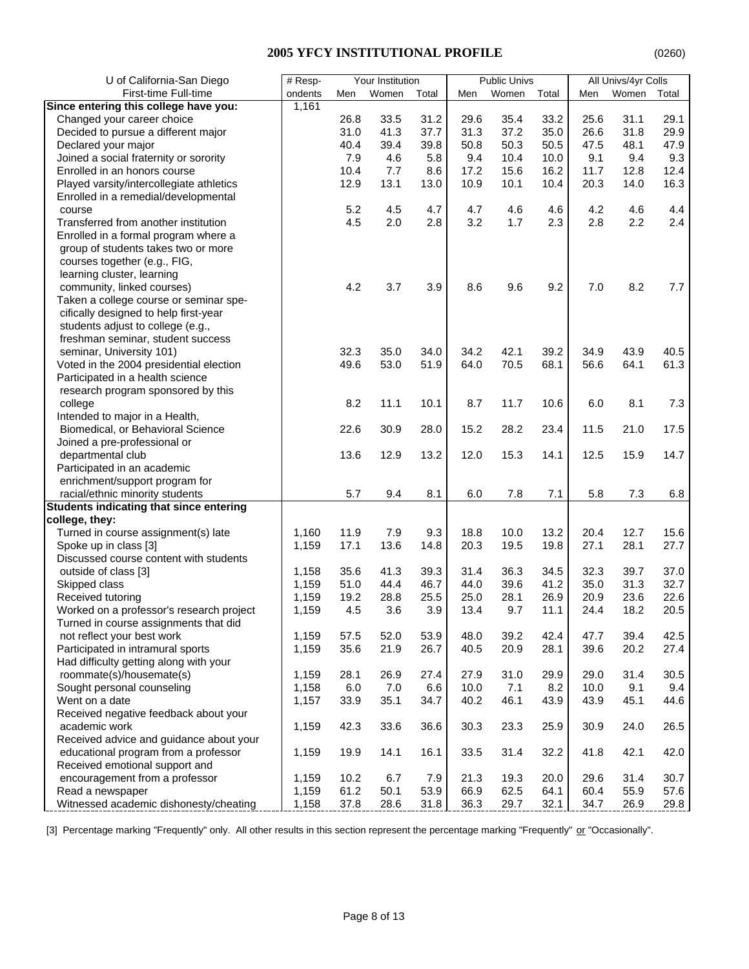| First-time Full-time<br>ondents<br>Women<br>Total<br>Women<br>Total<br>Women<br>Total<br>Men<br>Men<br>Men<br>1,161<br>Changed your career choice<br>26.8<br>31.2<br>35.4<br>33.2<br>25.6<br>31.1<br>29.1<br>33.5<br>29.6<br>Decided to pursue a different major<br>31.0<br>41.3<br>37.7<br>31.3<br>37.2<br>35.0<br>26.6<br>31.8<br>29.9<br>40.4<br>Declared your major<br>39.4<br>39.8<br>50.8<br>50.3<br>50.5<br>47.5<br>48.1<br>47.9<br>7.9<br>Joined a social fraternity or sorority<br>4.6<br>5.8<br>9.4<br>10.4<br>9.1<br>9.4<br>9.3<br>10.0<br>Enrolled in an honors course<br>10.4<br>7.7<br>8.6<br>17.2<br>15.6<br>16.2<br>11.7<br>12.8<br>12.4<br>Played varsity/intercollegiate athletics<br>12.9<br>13.1<br>10.9<br>10.1<br>10.4<br>20.3<br>14.0<br>16.3<br>13.0<br>Enrolled in a remedial/developmental<br>5.2<br>4.5<br>4.7<br>4.7<br>4.6<br>4.2<br>4.6<br>4.4<br>course<br>4.6<br>3.2<br>2.3<br>2.8<br>2.2<br>2.4<br>Transferred from another institution<br>4.5<br>2.0<br>2.8<br>1.7<br>Enrolled in a formal program where a<br>group of students takes two or more<br>courses together (e.g., FIG,<br>learning cluster, learning<br>community, linked courses)<br>4.2<br>3.7<br>3.9<br>8.6<br>9.6<br>9.2<br>7.0<br>8.2<br>7.7<br>Taken a college course or seminar spe-<br>cifically designed to help first-year<br>students adjust to college (e.g.,<br>freshman seminar, student success<br>seminar, University 101)<br>32.3<br>35.0<br>34.0<br>34.2<br>42.1<br>39.2<br>34.9<br>43.9<br>40.5<br>61.3<br>Voted in the 2004 presidential election<br>49.6<br>53.0<br>51.9<br>64.0<br>70.5<br>68.1<br>56.6<br>64.1<br>Participated in a health science<br>research program sponsored by this<br>8.2<br>11.1<br>10.1<br>8.7<br>11.7<br>10.6<br>6.0<br>8.1<br>7.3<br>college<br>Intended to major in a Health,<br>22.6<br>28.2<br>Biomedical, or Behavioral Science<br>30.9<br>28.0<br>15.2<br>23.4<br>11.5<br>21.0<br>17.5<br>Joined a pre-professional or<br>12.9<br>12.0<br>12.5<br>departmental club<br>13.6<br>13.2<br>15.3<br>14.1<br>15.9<br>14.7<br>Participated in an academic<br>enrichment/support program for<br>racial/ethnic minority students<br>5.7<br>9.4<br>7.1<br>5.8<br>7.3<br>8.1<br>6.0<br>7.8<br>6.8<br>Students indicating that since entering<br>college, they:<br>12.7<br>Turned in course assignment(s) late<br>11.9<br>7.9<br>9.3<br>18.8<br>10.0<br>13.2<br>20.4<br>15.6<br>1,160<br>13.6<br>Spoke up in class [3]<br>1,159<br>17.1<br>14.8<br>20.3<br>19.5<br>19.8<br>27.1<br>28.1<br>27.7<br>Discussed course content with students<br>35.6<br>41.3<br>39.3<br>31.4<br>36.3<br>32.3<br>39.7<br>37.0<br>outside of class [3]<br>1,158<br>34.5<br>Skipped class<br>51.0<br>44.4<br>46.7<br>44.0<br>39.6<br>41.2<br>35.0<br>31.3<br>32.7<br>1,159<br>Received tutoring<br>19.2<br>28.8<br>25.5<br>25.0<br>28.1<br>26.9<br>20.9<br>23.6<br>22.6<br>1,159<br>4.5<br>3.6<br>3.9<br>13.4<br>9.7<br>24.4<br>18.2<br>20.5<br>Worked on a professor's research project<br>1,159<br>11.1<br>Turned in course assignments that did<br>1,159<br>57.5<br>52.0<br>53.9<br>48.0<br>39.2<br>42.4<br>47.7<br>39.4<br>42.5<br>not reflect your best work<br>Participated in intramural sports<br>35.6<br>20.9<br>39.6<br>21.9<br>26.7<br>40.5<br>28.1<br>20.2<br>27.4<br>1,159<br>Had difficulty getting along with your<br>30.5<br>roommate(s)/housemate(s)<br>28.1<br>26.9<br>27.4<br>27.9<br>31.0<br>29.9<br>29.0<br>31.4<br>1,159<br>Sought personal counseling<br>6.0<br>7.0<br>6.6<br>10.0<br>7.1<br>8.2<br>10.0<br>9.1<br>9.4<br>1,158<br>44.6<br>Went on a date<br>33.9<br>35.1<br>40.2<br>46.1<br>43.9<br>45.1<br>1,157<br>34.7<br>43.9<br>Received negative feedback about your<br>academic work<br>42.3<br>33.6<br>36.6<br>30.3<br>23.3<br>25.9<br>30.9<br>24.0<br>26.5<br>1,159<br>Received advice and guidance about your<br>educational program from a professor<br>19.9<br>14.1<br>33.5<br>31.4<br>32.2<br>41.8<br>42.1<br>42.0<br>1,159<br>16.1<br>Received emotional support and<br>encouragement from a professor<br>10.2<br>31.4<br>30.7<br>1,159<br>6.7<br>7.9<br>21.3<br>19.3<br>20.0<br>29.6<br>Read a newspaper<br>61.2<br>50.1<br>53.9<br>66.9<br>62.5<br>60.4<br>55.9<br>1,159<br>64.1<br>57.6 | U of California-San Diego             | # Resp- | Your Institution |  | <b>Public Univs</b> |  | All Univs/4yr Colls |  |
|---------------------------------------------------------------------------------------------------------------------------------------------------------------------------------------------------------------------------------------------------------------------------------------------------------------------------------------------------------------------------------------------------------------------------------------------------------------------------------------------------------------------------------------------------------------------------------------------------------------------------------------------------------------------------------------------------------------------------------------------------------------------------------------------------------------------------------------------------------------------------------------------------------------------------------------------------------------------------------------------------------------------------------------------------------------------------------------------------------------------------------------------------------------------------------------------------------------------------------------------------------------------------------------------------------------------------------------------------------------------------------------------------------------------------------------------------------------------------------------------------------------------------------------------------------------------------------------------------------------------------------------------------------------------------------------------------------------------------------------------------------------------------------------------------------------------------------------------------------------------------------------------------------------------------------------------------------------------------------------------------------------------------------------------------------------------------------------------------------------------------------------------------------------------------------------------------------------------------------------------------------------------------------------------------------------------------------------------------------------------------------------------------------------------------------------------------------------------------------------------------------------------------------------------------------------------------------------------------------------------------------------------------------------------------------------------------------------------------------------------------------------------------------------------------------------------------------------------------------------------------------------------------------------------------------------------------------------------------------------------------------------------------------------------------------------------------------------------------------------------------------------------------------------------------------------------------------------------------------------------------------------------------------------------------------------------------------------------------------------------------------------------------------------------------------------------------------------------------------------------------------------------------------------------------------------------------------------------------------------------------------------------------------------------------------------------------------------------------------------------------------------------------------------------------------------------------------------------------------------------------------------------------------------------------------------------------------------------------------------------------------------------------------------------------------------------------------------------------------------------------------------------------------------------------------------------------------------------------------------------------|---------------------------------------|---------|------------------|--|---------------------|--|---------------------|--|
|                                                                                                                                                                                                                                                                                                                                                                                                                                                                                                                                                                                                                                                                                                                                                                                                                                                                                                                                                                                                                                                                                                                                                                                                                                                                                                                                                                                                                                                                                                                                                                                                                                                                                                                                                                                                                                                                                                                                                                                                                                                                                                                                                                                                                                                                                                                                                                                                                                                                                                                                                                                                                                                                                                                                                                                                                                                                                                                                                                                                                                                                                                                                                                                                                                                                                                                                                                                                                                                                                                                                                                                                                                                                                                                                                                                                                                                                                                                                                                                                                                                                                                                                                                                                                                                   |                                       |         |                  |  |                     |  |                     |  |
|                                                                                                                                                                                                                                                                                                                                                                                                                                                                                                                                                                                                                                                                                                                                                                                                                                                                                                                                                                                                                                                                                                                                                                                                                                                                                                                                                                                                                                                                                                                                                                                                                                                                                                                                                                                                                                                                                                                                                                                                                                                                                                                                                                                                                                                                                                                                                                                                                                                                                                                                                                                                                                                                                                                                                                                                                                                                                                                                                                                                                                                                                                                                                                                                                                                                                                                                                                                                                                                                                                                                                                                                                                                                                                                                                                                                                                                                                                                                                                                                                                                                                                                                                                                                                                                   | Since entering this college have you: |         |                  |  |                     |  |                     |  |
|                                                                                                                                                                                                                                                                                                                                                                                                                                                                                                                                                                                                                                                                                                                                                                                                                                                                                                                                                                                                                                                                                                                                                                                                                                                                                                                                                                                                                                                                                                                                                                                                                                                                                                                                                                                                                                                                                                                                                                                                                                                                                                                                                                                                                                                                                                                                                                                                                                                                                                                                                                                                                                                                                                                                                                                                                                                                                                                                                                                                                                                                                                                                                                                                                                                                                                                                                                                                                                                                                                                                                                                                                                                                                                                                                                                                                                                                                                                                                                                                                                                                                                                                                                                                                                                   |                                       |         |                  |  |                     |  |                     |  |
|                                                                                                                                                                                                                                                                                                                                                                                                                                                                                                                                                                                                                                                                                                                                                                                                                                                                                                                                                                                                                                                                                                                                                                                                                                                                                                                                                                                                                                                                                                                                                                                                                                                                                                                                                                                                                                                                                                                                                                                                                                                                                                                                                                                                                                                                                                                                                                                                                                                                                                                                                                                                                                                                                                                                                                                                                                                                                                                                                                                                                                                                                                                                                                                                                                                                                                                                                                                                                                                                                                                                                                                                                                                                                                                                                                                                                                                                                                                                                                                                                                                                                                                                                                                                                                                   |                                       |         |                  |  |                     |  |                     |  |
|                                                                                                                                                                                                                                                                                                                                                                                                                                                                                                                                                                                                                                                                                                                                                                                                                                                                                                                                                                                                                                                                                                                                                                                                                                                                                                                                                                                                                                                                                                                                                                                                                                                                                                                                                                                                                                                                                                                                                                                                                                                                                                                                                                                                                                                                                                                                                                                                                                                                                                                                                                                                                                                                                                                                                                                                                                                                                                                                                                                                                                                                                                                                                                                                                                                                                                                                                                                                                                                                                                                                                                                                                                                                                                                                                                                                                                                                                                                                                                                                                                                                                                                                                                                                                                                   |                                       |         |                  |  |                     |  |                     |  |
|                                                                                                                                                                                                                                                                                                                                                                                                                                                                                                                                                                                                                                                                                                                                                                                                                                                                                                                                                                                                                                                                                                                                                                                                                                                                                                                                                                                                                                                                                                                                                                                                                                                                                                                                                                                                                                                                                                                                                                                                                                                                                                                                                                                                                                                                                                                                                                                                                                                                                                                                                                                                                                                                                                                                                                                                                                                                                                                                                                                                                                                                                                                                                                                                                                                                                                                                                                                                                                                                                                                                                                                                                                                                                                                                                                                                                                                                                                                                                                                                                                                                                                                                                                                                                                                   |                                       |         |                  |  |                     |  |                     |  |
|                                                                                                                                                                                                                                                                                                                                                                                                                                                                                                                                                                                                                                                                                                                                                                                                                                                                                                                                                                                                                                                                                                                                                                                                                                                                                                                                                                                                                                                                                                                                                                                                                                                                                                                                                                                                                                                                                                                                                                                                                                                                                                                                                                                                                                                                                                                                                                                                                                                                                                                                                                                                                                                                                                                                                                                                                                                                                                                                                                                                                                                                                                                                                                                                                                                                                                                                                                                                                                                                                                                                                                                                                                                                                                                                                                                                                                                                                                                                                                                                                                                                                                                                                                                                                                                   |                                       |         |                  |  |                     |  |                     |  |
|                                                                                                                                                                                                                                                                                                                                                                                                                                                                                                                                                                                                                                                                                                                                                                                                                                                                                                                                                                                                                                                                                                                                                                                                                                                                                                                                                                                                                                                                                                                                                                                                                                                                                                                                                                                                                                                                                                                                                                                                                                                                                                                                                                                                                                                                                                                                                                                                                                                                                                                                                                                                                                                                                                                                                                                                                                                                                                                                                                                                                                                                                                                                                                                                                                                                                                                                                                                                                                                                                                                                                                                                                                                                                                                                                                                                                                                                                                                                                                                                                                                                                                                                                                                                                                                   |                                       |         |                  |  |                     |  |                     |  |
|                                                                                                                                                                                                                                                                                                                                                                                                                                                                                                                                                                                                                                                                                                                                                                                                                                                                                                                                                                                                                                                                                                                                                                                                                                                                                                                                                                                                                                                                                                                                                                                                                                                                                                                                                                                                                                                                                                                                                                                                                                                                                                                                                                                                                                                                                                                                                                                                                                                                                                                                                                                                                                                                                                                                                                                                                                                                                                                                                                                                                                                                                                                                                                                                                                                                                                                                                                                                                                                                                                                                                                                                                                                                                                                                                                                                                                                                                                                                                                                                                                                                                                                                                                                                                                                   |                                       |         |                  |  |                     |  |                     |  |
|                                                                                                                                                                                                                                                                                                                                                                                                                                                                                                                                                                                                                                                                                                                                                                                                                                                                                                                                                                                                                                                                                                                                                                                                                                                                                                                                                                                                                                                                                                                                                                                                                                                                                                                                                                                                                                                                                                                                                                                                                                                                                                                                                                                                                                                                                                                                                                                                                                                                                                                                                                                                                                                                                                                                                                                                                                                                                                                                                                                                                                                                                                                                                                                                                                                                                                                                                                                                                                                                                                                                                                                                                                                                                                                                                                                                                                                                                                                                                                                                                                                                                                                                                                                                                                                   |                                       |         |                  |  |                     |  |                     |  |
|                                                                                                                                                                                                                                                                                                                                                                                                                                                                                                                                                                                                                                                                                                                                                                                                                                                                                                                                                                                                                                                                                                                                                                                                                                                                                                                                                                                                                                                                                                                                                                                                                                                                                                                                                                                                                                                                                                                                                                                                                                                                                                                                                                                                                                                                                                                                                                                                                                                                                                                                                                                                                                                                                                                                                                                                                                                                                                                                                                                                                                                                                                                                                                                                                                                                                                                                                                                                                                                                                                                                                                                                                                                                                                                                                                                                                                                                                                                                                                                                                                                                                                                                                                                                                                                   |                                       |         |                  |  |                     |  |                     |  |
|                                                                                                                                                                                                                                                                                                                                                                                                                                                                                                                                                                                                                                                                                                                                                                                                                                                                                                                                                                                                                                                                                                                                                                                                                                                                                                                                                                                                                                                                                                                                                                                                                                                                                                                                                                                                                                                                                                                                                                                                                                                                                                                                                                                                                                                                                                                                                                                                                                                                                                                                                                                                                                                                                                                                                                                                                                                                                                                                                                                                                                                                                                                                                                                                                                                                                                                                                                                                                                                                                                                                                                                                                                                                                                                                                                                                                                                                                                                                                                                                                                                                                                                                                                                                                                                   |                                       |         |                  |  |                     |  |                     |  |
|                                                                                                                                                                                                                                                                                                                                                                                                                                                                                                                                                                                                                                                                                                                                                                                                                                                                                                                                                                                                                                                                                                                                                                                                                                                                                                                                                                                                                                                                                                                                                                                                                                                                                                                                                                                                                                                                                                                                                                                                                                                                                                                                                                                                                                                                                                                                                                                                                                                                                                                                                                                                                                                                                                                                                                                                                                                                                                                                                                                                                                                                                                                                                                                                                                                                                                                                                                                                                                                                                                                                                                                                                                                                                                                                                                                                                                                                                                                                                                                                                                                                                                                                                                                                                                                   |                                       |         |                  |  |                     |  |                     |  |
|                                                                                                                                                                                                                                                                                                                                                                                                                                                                                                                                                                                                                                                                                                                                                                                                                                                                                                                                                                                                                                                                                                                                                                                                                                                                                                                                                                                                                                                                                                                                                                                                                                                                                                                                                                                                                                                                                                                                                                                                                                                                                                                                                                                                                                                                                                                                                                                                                                                                                                                                                                                                                                                                                                                                                                                                                                                                                                                                                                                                                                                                                                                                                                                                                                                                                                                                                                                                                                                                                                                                                                                                                                                                                                                                                                                                                                                                                                                                                                                                                                                                                                                                                                                                                                                   |                                       |         |                  |  |                     |  |                     |  |
|                                                                                                                                                                                                                                                                                                                                                                                                                                                                                                                                                                                                                                                                                                                                                                                                                                                                                                                                                                                                                                                                                                                                                                                                                                                                                                                                                                                                                                                                                                                                                                                                                                                                                                                                                                                                                                                                                                                                                                                                                                                                                                                                                                                                                                                                                                                                                                                                                                                                                                                                                                                                                                                                                                                                                                                                                                                                                                                                                                                                                                                                                                                                                                                                                                                                                                                                                                                                                                                                                                                                                                                                                                                                                                                                                                                                                                                                                                                                                                                                                                                                                                                                                                                                                                                   |                                       |         |                  |  |                     |  |                     |  |
|                                                                                                                                                                                                                                                                                                                                                                                                                                                                                                                                                                                                                                                                                                                                                                                                                                                                                                                                                                                                                                                                                                                                                                                                                                                                                                                                                                                                                                                                                                                                                                                                                                                                                                                                                                                                                                                                                                                                                                                                                                                                                                                                                                                                                                                                                                                                                                                                                                                                                                                                                                                                                                                                                                                                                                                                                                                                                                                                                                                                                                                                                                                                                                                                                                                                                                                                                                                                                                                                                                                                                                                                                                                                                                                                                                                                                                                                                                                                                                                                                                                                                                                                                                                                                                                   |                                       |         |                  |  |                     |  |                     |  |
|                                                                                                                                                                                                                                                                                                                                                                                                                                                                                                                                                                                                                                                                                                                                                                                                                                                                                                                                                                                                                                                                                                                                                                                                                                                                                                                                                                                                                                                                                                                                                                                                                                                                                                                                                                                                                                                                                                                                                                                                                                                                                                                                                                                                                                                                                                                                                                                                                                                                                                                                                                                                                                                                                                                                                                                                                                                                                                                                                                                                                                                                                                                                                                                                                                                                                                                                                                                                                                                                                                                                                                                                                                                                                                                                                                                                                                                                                                                                                                                                                                                                                                                                                                                                                                                   |                                       |         |                  |  |                     |  |                     |  |
|                                                                                                                                                                                                                                                                                                                                                                                                                                                                                                                                                                                                                                                                                                                                                                                                                                                                                                                                                                                                                                                                                                                                                                                                                                                                                                                                                                                                                                                                                                                                                                                                                                                                                                                                                                                                                                                                                                                                                                                                                                                                                                                                                                                                                                                                                                                                                                                                                                                                                                                                                                                                                                                                                                                                                                                                                                                                                                                                                                                                                                                                                                                                                                                                                                                                                                                                                                                                                                                                                                                                                                                                                                                                                                                                                                                                                                                                                                                                                                                                                                                                                                                                                                                                                                                   |                                       |         |                  |  |                     |  |                     |  |
|                                                                                                                                                                                                                                                                                                                                                                                                                                                                                                                                                                                                                                                                                                                                                                                                                                                                                                                                                                                                                                                                                                                                                                                                                                                                                                                                                                                                                                                                                                                                                                                                                                                                                                                                                                                                                                                                                                                                                                                                                                                                                                                                                                                                                                                                                                                                                                                                                                                                                                                                                                                                                                                                                                                                                                                                                                                                                                                                                                                                                                                                                                                                                                                                                                                                                                                                                                                                                                                                                                                                                                                                                                                                                                                                                                                                                                                                                                                                                                                                                                                                                                                                                                                                                                                   |                                       |         |                  |  |                     |  |                     |  |
|                                                                                                                                                                                                                                                                                                                                                                                                                                                                                                                                                                                                                                                                                                                                                                                                                                                                                                                                                                                                                                                                                                                                                                                                                                                                                                                                                                                                                                                                                                                                                                                                                                                                                                                                                                                                                                                                                                                                                                                                                                                                                                                                                                                                                                                                                                                                                                                                                                                                                                                                                                                                                                                                                                                                                                                                                                                                                                                                                                                                                                                                                                                                                                                                                                                                                                                                                                                                                                                                                                                                                                                                                                                                                                                                                                                                                                                                                                                                                                                                                                                                                                                                                                                                                                                   |                                       |         |                  |  |                     |  |                     |  |
|                                                                                                                                                                                                                                                                                                                                                                                                                                                                                                                                                                                                                                                                                                                                                                                                                                                                                                                                                                                                                                                                                                                                                                                                                                                                                                                                                                                                                                                                                                                                                                                                                                                                                                                                                                                                                                                                                                                                                                                                                                                                                                                                                                                                                                                                                                                                                                                                                                                                                                                                                                                                                                                                                                                                                                                                                                                                                                                                                                                                                                                                                                                                                                                                                                                                                                                                                                                                                                                                                                                                                                                                                                                                                                                                                                                                                                                                                                                                                                                                                                                                                                                                                                                                                                                   |                                       |         |                  |  |                     |  |                     |  |
|                                                                                                                                                                                                                                                                                                                                                                                                                                                                                                                                                                                                                                                                                                                                                                                                                                                                                                                                                                                                                                                                                                                                                                                                                                                                                                                                                                                                                                                                                                                                                                                                                                                                                                                                                                                                                                                                                                                                                                                                                                                                                                                                                                                                                                                                                                                                                                                                                                                                                                                                                                                                                                                                                                                                                                                                                                                                                                                                                                                                                                                                                                                                                                                                                                                                                                                                                                                                                                                                                                                                                                                                                                                                                                                                                                                                                                                                                                                                                                                                                                                                                                                                                                                                                                                   |                                       |         |                  |  |                     |  |                     |  |
|                                                                                                                                                                                                                                                                                                                                                                                                                                                                                                                                                                                                                                                                                                                                                                                                                                                                                                                                                                                                                                                                                                                                                                                                                                                                                                                                                                                                                                                                                                                                                                                                                                                                                                                                                                                                                                                                                                                                                                                                                                                                                                                                                                                                                                                                                                                                                                                                                                                                                                                                                                                                                                                                                                                                                                                                                                                                                                                                                                                                                                                                                                                                                                                                                                                                                                                                                                                                                                                                                                                                                                                                                                                                                                                                                                                                                                                                                                                                                                                                                                                                                                                                                                                                                                                   |                                       |         |                  |  |                     |  |                     |  |
|                                                                                                                                                                                                                                                                                                                                                                                                                                                                                                                                                                                                                                                                                                                                                                                                                                                                                                                                                                                                                                                                                                                                                                                                                                                                                                                                                                                                                                                                                                                                                                                                                                                                                                                                                                                                                                                                                                                                                                                                                                                                                                                                                                                                                                                                                                                                                                                                                                                                                                                                                                                                                                                                                                                                                                                                                                                                                                                                                                                                                                                                                                                                                                                                                                                                                                                                                                                                                                                                                                                                                                                                                                                                                                                                                                                                                                                                                                                                                                                                                                                                                                                                                                                                                                                   |                                       |         |                  |  |                     |  |                     |  |
|                                                                                                                                                                                                                                                                                                                                                                                                                                                                                                                                                                                                                                                                                                                                                                                                                                                                                                                                                                                                                                                                                                                                                                                                                                                                                                                                                                                                                                                                                                                                                                                                                                                                                                                                                                                                                                                                                                                                                                                                                                                                                                                                                                                                                                                                                                                                                                                                                                                                                                                                                                                                                                                                                                                                                                                                                                                                                                                                                                                                                                                                                                                                                                                                                                                                                                                                                                                                                                                                                                                                                                                                                                                                                                                                                                                                                                                                                                                                                                                                                                                                                                                                                                                                                                                   |                                       |         |                  |  |                     |  |                     |  |
|                                                                                                                                                                                                                                                                                                                                                                                                                                                                                                                                                                                                                                                                                                                                                                                                                                                                                                                                                                                                                                                                                                                                                                                                                                                                                                                                                                                                                                                                                                                                                                                                                                                                                                                                                                                                                                                                                                                                                                                                                                                                                                                                                                                                                                                                                                                                                                                                                                                                                                                                                                                                                                                                                                                                                                                                                                                                                                                                                                                                                                                                                                                                                                                                                                                                                                                                                                                                                                                                                                                                                                                                                                                                                                                                                                                                                                                                                                                                                                                                                                                                                                                                                                                                                                                   |                                       |         |                  |  |                     |  |                     |  |
|                                                                                                                                                                                                                                                                                                                                                                                                                                                                                                                                                                                                                                                                                                                                                                                                                                                                                                                                                                                                                                                                                                                                                                                                                                                                                                                                                                                                                                                                                                                                                                                                                                                                                                                                                                                                                                                                                                                                                                                                                                                                                                                                                                                                                                                                                                                                                                                                                                                                                                                                                                                                                                                                                                                                                                                                                                                                                                                                                                                                                                                                                                                                                                                                                                                                                                                                                                                                                                                                                                                                                                                                                                                                                                                                                                                                                                                                                                                                                                                                                                                                                                                                                                                                                                                   |                                       |         |                  |  |                     |  |                     |  |
|                                                                                                                                                                                                                                                                                                                                                                                                                                                                                                                                                                                                                                                                                                                                                                                                                                                                                                                                                                                                                                                                                                                                                                                                                                                                                                                                                                                                                                                                                                                                                                                                                                                                                                                                                                                                                                                                                                                                                                                                                                                                                                                                                                                                                                                                                                                                                                                                                                                                                                                                                                                                                                                                                                                                                                                                                                                                                                                                                                                                                                                                                                                                                                                                                                                                                                                                                                                                                                                                                                                                                                                                                                                                                                                                                                                                                                                                                                                                                                                                                                                                                                                                                                                                                                                   |                                       |         |                  |  |                     |  |                     |  |
|                                                                                                                                                                                                                                                                                                                                                                                                                                                                                                                                                                                                                                                                                                                                                                                                                                                                                                                                                                                                                                                                                                                                                                                                                                                                                                                                                                                                                                                                                                                                                                                                                                                                                                                                                                                                                                                                                                                                                                                                                                                                                                                                                                                                                                                                                                                                                                                                                                                                                                                                                                                                                                                                                                                                                                                                                                                                                                                                                                                                                                                                                                                                                                                                                                                                                                                                                                                                                                                                                                                                                                                                                                                                                                                                                                                                                                                                                                                                                                                                                                                                                                                                                                                                                                                   |                                       |         |                  |  |                     |  |                     |  |
|                                                                                                                                                                                                                                                                                                                                                                                                                                                                                                                                                                                                                                                                                                                                                                                                                                                                                                                                                                                                                                                                                                                                                                                                                                                                                                                                                                                                                                                                                                                                                                                                                                                                                                                                                                                                                                                                                                                                                                                                                                                                                                                                                                                                                                                                                                                                                                                                                                                                                                                                                                                                                                                                                                                                                                                                                                                                                                                                                                                                                                                                                                                                                                                                                                                                                                                                                                                                                                                                                                                                                                                                                                                                                                                                                                                                                                                                                                                                                                                                                                                                                                                                                                                                                                                   |                                       |         |                  |  |                     |  |                     |  |
|                                                                                                                                                                                                                                                                                                                                                                                                                                                                                                                                                                                                                                                                                                                                                                                                                                                                                                                                                                                                                                                                                                                                                                                                                                                                                                                                                                                                                                                                                                                                                                                                                                                                                                                                                                                                                                                                                                                                                                                                                                                                                                                                                                                                                                                                                                                                                                                                                                                                                                                                                                                                                                                                                                                                                                                                                                                                                                                                                                                                                                                                                                                                                                                                                                                                                                                                                                                                                                                                                                                                                                                                                                                                                                                                                                                                                                                                                                                                                                                                                                                                                                                                                                                                                                                   |                                       |         |                  |  |                     |  |                     |  |
|                                                                                                                                                                                                                                                                                                                                                                                                                                                                                                                                                                                                                                                                                                                                                                                                                                                                                                                                                                                                                                                                                                                                                                                                                                                                                                                                                                                                                                                                                                                                                                                                                                                                                                                                                                                                                                                                                                                                                                                                                                                                                                                                                                                                                                                                                                                                                                                                                                                                                                                                                                                                                                                                                                                                                                                                                                                                                                                                                                                                                                                                                                                                                                                                                                                                                                                                                                                                                                                                                                                                                                                                                                                                                                                                                                                                                                                                                                                                                                                                                                                                                                                                                                                                                                                   |                                       |         |                  |  |                     |  |                     |  |
|                                                                                                                                                                                                                                                                                                                                                                                                                                                                                                                                                                                                                                                                                                                                                                                                                                                                                                                                                                                                                                                                                                                                                                                                                                                                                                                                                                                                                                                                                                                                                                                                                                                                                                                                                                                                                                                                                                                                                                                                                                                                                                                                                                                                                                                                                                                                                                                                                                                                                                                                                                                                                                                                                                                                                                                                                                                                                                                                                                                                                                                                                                                                                                                                                                                                                                                                                                                                                                                                                                                                                                                                                                                                                                                                                                                                                                                                                                                                                                                                                                                                                                                                                                                                                                                   |                                       |         |                  |  |                     |  |                     |  |
|                                                                                                                                                                                                                                                                                                                                                                                                                                                                                                                                                                                                                                                                                                                                                                                                                                                                                                                                                                                                                                                                                                                                                                                                                                                                                                                                                                                                                                                                                                                                                                                                                                                                                                                                                                                                                                                                                                                                                                                                                                                                                                                                                                                                                                                                                                                                                                                                                                                                                                                                                                                                                                                                                                                                                                                                                                                                                                                                                                                                                                                                                                                                                                                                                                                                                                                                                                                                                                                                                                                                                                                                                                                                                                                                                                                                                                                                                                                                                                                                                                                                                                                                                                                                                                                   |                                       |         |                  |  |                     |  |                     |  |
|                                                                                                                                                                                                                                                                                                                                                                                                                                                                                                                                                                                                                                                                                                                                                                                                                                                                                                                                                                                                                                                                                                                                                                                                                                                                                                                                                                                                                                                                                                                                                                                                                                                                                                                                                                                                                                                                                                                                                                                                                                                                                                                                                                                                                                                                                                                                                                                                                                                                                                                                                                                                                                                                                                                                                                                                                                                                                                                                                                                                                                                                                                                                                                                                                                                                                                                                                                                                                                                                                                                                                                                                                                                                                                                                                                                                                                                                                                                                                                                                                                                                                                                                                                                                                                                   |                                       |         |                  |  |                     |  |                     |  |
|                                                                                                                                                                                                                                                                                                                                                                                                                                                                                                                                                                                                                                                                                                                                                                                                                                                                                                                                                                                                                                                                                                                                                                                                                                                                                                                                                                                                                                                                                                                                                                                                                                                                                                                                                                                                                                                                                                                                                                                                                                                                                                                                                                                                                                                                                                                                                                                                                                                                                                                                                                                                                                                                                                                                                                                                                                                                                                                                                                                                                                                                                                                                                                                                                                                                                                                                                                                                                                                                                                                                                                                                                                                                                                                                                                                                                                                                                                                                                                                                                                                                                                                                                                                                                                                   |                                       |         |                  |  |                     |  |                     |  |
|                                                                                                                                                                                                                                                                                                                                                                                                                                                                                                                                                                                                                                                                                                                                                                                                                                                                                                                                                                                                                                                                                                                                                                                                                                                                                                                                                                                                                                                                                                                                                                                                                                                                                                                                                                                                                                                                                                                                                                                                                                                                                                                                                                                                                                                                                                                                                                                                                                                                                                                                                                                                                                                                                                                                                                                                                                                                                                                                                                                                                                                                                                                                                                                                                                                                                                                                                                                                                                                                                                                                                                                                                                                                                                                                                                                                                                                                                                                                                                                                                                                                                                                                                                                                                                                   |                                       |         |                  |  |                     |  |                     |  |
|                                                                                                                                                                                                                                                                                                                                                                                                                                                                                                                                                                                                                                                                                                                                                                                                                                                                                                                                                                                                                                                                                                                                                                                                                                                                                                                                                                                                                                                                                                                                                                                                                                                                                                                                                                                                                                                                                                                                                                                                                                                                                                                                                                                                                                                                                                                                                                                                                                                                                                                                                                                                                                                                                                                                                                                                                                                                                                                                                                                                                                                                                                                                                                                                                                                                                                                                                                                                                                                                                                                                                                                                                                                                                                                                                                                                                                                                                                                                                                                                                                                                                                                                                                                                                                                   |                                       |         |                  |  |                     |  |                     |  |
|                                                                                                                                                                                                                                                                                                                                                                                                                                                                                                                                                                                                                                                                                                                                                                                                                                                                                                                                                                                                                                                                                                                                                                                                                                                                                                                                                                                                                                                                                                                                                                                                                                                                                                                                                                                                                                                                                                                                                                                                                                                                                                                                                                                                                                                                                                                                                                                                                                                                                                                                                                                                                                                                                                                                                                                                                                                                                                                                                                                                                                                                                                                                                                                                                                                                                                                                                                                                                                                                                                                                                                                                                                                                                                                                                                                                                                                                                                                                                                                                                                                                                                                                                                                                                                                   |                                       |         |                  |  |                     |  |                     |  |
|                                                                                                                                                                                                                                                                                                                                                                                                                                                                                                                                                                                                                                                                                                                                                                                                                                                                                                                                                                                                                                                                                                                                                                                                                                                                                                                                                                                                                                                                                                                                                                                                                                                                                                                                                                                                                                                                                                                                                                                                                                                                                                                                                                                                                                                                                                                                                                                                                                                                                                                                                                                                                                                                                                                                                                                                                                                                                                                                                                                                                                                                                                                                                                                                                                                                                                                                                                                                                                                                                                                                                                                                                                                                                                                                                                                                                                                                                                                                                                                                                                                                                                                                                                                                                                                   |                                       |         |                  |  |                     |  |                     |  |
|                                                                                                                                                                                                                                                                                                                                                                                                                                                                                                                                                                                                                                                                                                                                                                                                                                                                                                                                                                                                                                                                                                                                                                                                                                                                                                                                                                                                                                                                                                                                                                                                                                                                                                                                                                                                                                                                                                                                                                                                                                                                                                                                                                                                                                                                                                                                                                                                                                                                                                                                                                                                                                                                                                                                                                                                                                                                                                                                                                                                                                                                                                                                                                                                                                                                                                                                                                                                                                                                                                                                                                                                                                                                                                                                                                                                                                                                                                                                                                                                                                                                                                                                                                                                                                                   |                                       |         |                  |  |                     |  |                     |  |
|                                                                                                                                                                                                                                                                                                                                                                                                                                                                                                                                                                                                                                                                                                                                                                                                                                                                                                                                                                                                                                                                                                                                                                                                                                                                                                                                                                                                                                                                                                                                                                                                                                                                                                                                                                                                                                                                                                                                                                                                                                                                                                                                                                                                                                                                                                                                                                                                                                                                                                                                                                                                                                                                                                                                                                                                                                                                                                                                                                                                                                                                                                                                                                                                                                                                                                                                                                                                                                                                                                                                                                                                                                                                                                                                                                                                                                                                                                                                                                                                                                                                                                                                                                                                                                                   |                                       |         |                  |  |                     |  |                     |  |
|                                                                                                                                                                                                                                                                                                                                                                                                                                                                                                                                                                                                                                                                                                                                                                                                                                                                                                                                                                                                                                                                                                                                                                                                                                                                                                                                                                                                                                                                                                                                                                                                                                                                                                                                                                                                                                                                                                                                                                                                                                                                                                                                                                                                                                                                                                                                                                                                                                                                                                                                                                                                                                                                                                                                                                                                                                                                                                                                                                                                                                                                                                                                                                                                                                                                                                                                                                                                                                                                                                                                                                                                                                                                                                                                                                                                                                                                                                                                                                                                                                                                                                                                                                                                                                                   |                                       |         |                  |  |                     |  |                     |  |
|                                                                                                                                                                                                                                                                                                                                                                                                                                                                                                                                                                                                                                                                                                                                                                                                                                                                                                                                                                                                                                                                                                                                                                                                                                                                                                                                                                                                                                                                                                                                                                                                                                                                                                                                                                                                                                                                                                                                                                                                                                                                                                                                                                                                                                                                                                                                                                                                                                                                                                                                                                                                                                                                                                                                                                                                                                                                                                                                                                                                                                                                                                                                                                                                                                                                                                                                                                                                                                                                                                                                                                                                                                                                                                                                                                                                                                                                                                                                                                                                                                                                                                                                                                                                                                                   |                                       |         |                  |  |                     |  |                     |  |
|                                                                                                                                                                                                                                                                                                                                                                                                                                                                                                                                                                                                                                                                                                                                                                                                                                                                                                                                                                                                                                                                                                                                                                                                                                                                                                                                                                                                                                                                                                                                                                                                                                                                                                                                                                                                                                                                                                                                                                                                                                                                                                                                                                                                                                                                                                                                                                                                                                                                                                                                                                                                                                                                                                                                                                                                                                                                                                                                                                                                                                                                                                                                                                                                                                                                                                                                                                                                                                                                                                                                                                                                                                                                                                                                                                                                                                                                                                                                                                                                                                                                                                                                                                                                                                                   |                                       |         |                  |  |                     |  |                     |  |
|                                                                                                                                                                                                                                                                                                                                                                                                                                                                                                                                                                                                                                                                                                                                                                                                                                                                                                                                                                                                                                                                                                                                                                                                                                                                                                                                                                                                                                                                                                                                                                                                                                                                                                                                                                                                                                                                                                                                                                                                                                                                                                                                                                                                                                                                                                                                                                                                                                                                                                                                                                                                                                                                                                                                                                                                                                                                                                                                                                                                                                                                                                                                                                                                                                                                                                                                                                                                                                                                                                                                                                                                                                                                                                                                                                                                                                                                                                                                                                                                                                                                                                                                                                                                                                                   |                                       |         |                  |  |                     |  |                     |  |
|                                                                                                                                                                                                                                                                                                                                                                                                                                                                                                                                                                                                                                                                                                                                                                                                                                                                                                                                                                                                                                                                                                                                                                                                                                                                                                                                                                                                                                                                                                                                                                                                                                                                                                                                                                                                                                                                                                                                                                                                                                                                                                                                                                                                                                                                                                                                                                                                                                                                                                                                                                                                                                                                                                                                                                                                                                                                                                                                                                                                                                                                                                                                                                                                                                                                                                                                                                                                                                                                                                                                                                                                                                                                                                                                                                                                                                                                                                                                                                                                                                                                                                                                                                                                                                                   |                                       |         |                  |  |                     |  |                     |  |
|                                                                                                                                                                                                                                                                                                                                                                                                                                                                                                                                                                                                                                                                                                                                                                                                                                                                                                                                                                                                                                                                                                                                                                                                                                                                                                                                                                                                                                                                                                                                                                                                                                                                                                                                                                                                                                                                                                                                                                                                                                                                                                                                                                                                                                                                                                                                                                                                                                                                                                                                                                                                                                                                                                                                                                                                                                                                                                                                                                                                                                                                                                                                                                                                                                                                                                                                                                                                                                                                                                                                                                                                                                                                                                                                                                                                                                                                                                                                                                                                                                                                                                                                                                                                                                                   |                                       |         |                  |  |                     |  |                     |  |
|                                                                                                                                                                                                                                                                                                                                                                                                                                                                                                                                                                                                                                                                                                                                                                                                                                                                                                                                                                                                                                                                                                                                                                                                                                                                                                                                                                                                                                                                                                                                                                                                                                                                                                                                                                                                                                                                                                                                                                                                                                                                                                                                                                                                                                                                                                                                                                                                                                                                                                                                                                                                                                                                                                                                                                                                                                                                                                                                                                                                                                                                                                                                                                                                                                                                                                                                                                                                                                                                                                                                                                                                                                                                                                                                                                                                                                                                                                                                                                                                                                                                                                                                                                                                                                                   |                                       |         |                  |  |                     |  |                     |  |
|                                                                                                                                                                                                                                                                                                                                                                                                                                                                                                                                                                                                                                                                                                                                                                                                                                                                                                                                                                                                                                                                                                                                                                                                                                                                                                                                                                                                                                                                                                                                                                                                                                                                                                                                                                                                                                                                                                                                                                                                                                                                                                                                                                                                                                                                                                                                                                                                                                                                                                                                                                                                                                                                                                                                                                                                                                                                                                                                                                                                                                                                                                                                                                                                                                                                                                                                                                                                                                                                                                                                                                                                                                                                                                                                                                                                                                                                                                                                                                                                                                                                                                                                                                                                                                                   |                                       |         |                  |  |                     |  |                     |  |
|                                                                                                                                                                                                                                                                                                                                                                                                                                                                                                                                                                                                                                                                                                                                                                                                                                                                                                                                                                                                                                                                                                                                                                                                                                                                                                                                                                                                                                                                                                                                                                                                                                                                                                                                                                                                                                                                                                                                                                                                                                                                                                                                                                                                                                                                                                                                                                                                                                                                                                                                                                                                                                                                                                                                                                                                                                                                                                                                                                                                                                                                                                                                                                                                                                                                                                                                                                                                                                                                                                                                                                                                                                                                                                                                                                                                                                                                                                                                                                                                                                                                                                                                                                                                                                                   |                                       |         |                  |  |                     |  |                     |  |
|                                                                                                                                                                                                                                                                                                                                                                                                                                                                                                                                                                                                                                                                                                                                                                                                                                                                                                                                                                                                                                                                                                                                                                                                                                                                                                                                                                                                                                                                                                                                                                                                                                                                                                                                                                                                                                                                                                                                                                                                                                                                                                                                                                                                                                                                                                                                                                                                                                                                                                                                                                                                                                                                                                                                                                                                                                                                                                                                                                                                                                                                                                                                                                                                                                                                                                                                                                                                                                                                                                                                                                                                                                                                                                                                                                                                                                                                                                                                                                                                                                                                                                                                                                                                                                                   |                                       |         |                  |  |                     |  |                     |  |
|                                                                                                                                                                                                                                                                                                                                                                                                                                                                                                                                                                                                                                                                                                                                                                                                                                                                                                                                                                                                                                                                                                                                                                                                                                                                                                                                                                                                                                                                                                                                                                                                                                                                                                                                                                                                                                                                                                                                                                                                                                                                                                                                                                                                                                                                                                                                                                                                                                                                                                                                                                                                                                                                                                                                                                                                                                                                                                                                                                                                                                                                                                                                                                                                                                                                                                                                                                                                                                                                                                                                                                                                                                                                                                                                                                                                                                                                                                                                                                                                                                                                                                                                                                                                                                                   |                                       |         |                  |  |                     |  |                     |  |
|                                                                                                                                                                                                                                                                                                                                                                                                                                                                                                                                                                                                                                                                                                                                                                                                                                                                                                                                                                                                                                                                                                                                                                                                                                                                                                                                                                                                                                                                                                                                                                                                                                                                                                                                                                                                                                                                                                                                                                                                                                                                                                                                                                                                                                                                                                                                                                                                                                                                                                                                                                                                                                                                                                                                                                                                                                                                                                                                                                                                                                                                                                                                                                                                                                                                                                                                                                                                                                                                                                                                                                                                                                                                                                                                                                                                                                                                                                                                                                                                                                                                                                                                                                                                                                                   |                                       |         |                  |  |                     |  |                     |  |
|                                                                                                                                                                                                                                                                                                                                                                                                                                                                                                                                                                                                                                                                                                                                                                                                                                                                                                                                                                                                                                                                                                                                                                                                                                                                                                                                                                                                                                                                                                                                                                                                                                                                                                                                                                                                                                                                                                                                                                                                                                                                                                                                                                                                                                                                                                                                                                                                                                                                                                                                                                                                                                                                                                                                                                                                                                                                                                                                                                                                                                                                                                                                                                                                                                                                                                                                                                                                                                                                                                                                                                                                                                                                                                                                                                                                                                                                                                                                                                                                                                                                                                                                                                                                                                                   |                                       |         |                  |  |                     |  |                     |  |
| Witnessed academic dishonesty/cheating<br>1,158<br>37.8<br>31.8<br>36.3<br>29.7<br>32.1<br>34.7<br>26.9<br>29.8<br>28.6                                                                                                                                                                                                                                                                                                                                                                                                                                                                                                                                                                                                                                                                                                                                                                                                                                                                                                                                                                                                                                                                                                                                                                                                                                                                                                                                                                                                                                                                                                                                                                                                                                                                                                                                                                                                                                                                                                                                                                                                                                                                                                                                                                                                                                                                                                                                                                                                                                                                                                                                                                                                                                                                                                                                                                                                                                                                                                                                                                                                                                                                                                                                                                                                                                                                                                                                                                                                                                                                                                                                                                                                                                                                                                                                                                                                                                                                                                                                                                                                                                                                                                                           |                                       |         |                  |  |                     |  |                     |  |

[3] Percentage marking "Frequently" only. All other results in this section represent the percentage marking "Frequently" or "Occasionally".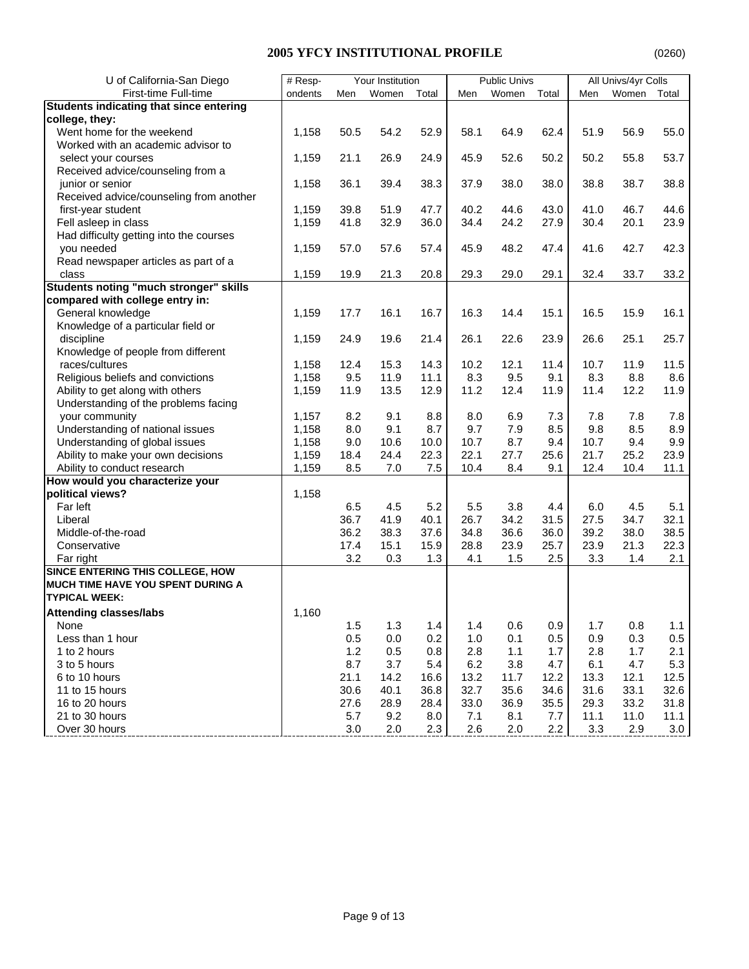| U of California-San Diego                      | $#$ Resp- |      | Your Institution |       |      | <b>Public Univs</b> |       |      | All Univs/4yr Colls |       |
|------------------------------------------------|-----------|------|------------------|-------|------|---------------------|-------|------|---------------------|-------|
| First-time Full-time                           | ondents   | Men  | Women            | Total | Men  | Women               | Total | Men  | Women               | Total |
| <b>Students indicating that since entering</b> |           |      |                  |       |      |                     |       |      |                     |       |
| college, they:                                 |           |      |                  |       |      |                     |       |      |                     |       |
| Went home for the weekend                      | 1,158     | 50.5 | 54.2             | 52.9  | 58.1 | 64.9                | 62.4  | 51.9 | 56.9                | 55.0  |
| Worked with an academic advisor to             |           |      |                  |       |      |                     |       |      |                     |       |
| select your courses                            | 1,159     | 21.1 | 26.9             | 24.9  | 45.9 | 52.6                | 50.2  | 50.2 | 55.8                | 53.7  |
| Received advice/counseling from a              |           |      |                  |       |      |                     |       |      |                     |       |
| junior or senior                               | 1,158     | 36.1 | 39.4             | 38.3  | 37.9 | 38.0                | 38.0  | 38.8 | 38.7                | 38.8  |
| Received advice/counseling from another        |           |      |                  |       |      |                     |       |      |                     |       |
| first-year student                             | 1,159     | 39.8 | 51.9             | 47.7  | 40.2 | 44.6                | 43.0  | 41.0 | 46.7                | 44.6  |
| Fell asleep in class                           | 1,159     | 41.8 | 32.9             | 36.0  | 34.4 | 24.2                | 27.9  | 30.4 | 20.1                | 23.9  |
| Had difficulty getting into the courses        |           |      |                  |       |      |                     |       |      |                     |       |
| you needed                                     | 1,159     | 57.0 | 57.6             | 57.4  | 45.9 | 48.2                | 47.4  | 41.6 | 42.7                | 42.3  |
| Read newspaper articles as part of a           |           |      |                  |       |      |                     |       |      |                     |       |
| class                                          | 1,159     | 19.9 | 21.3             | 20.8  | 29.3 | 29.0                | 29.1  | 32.4 | 33.7                | 33.2  |
| <b>Students noting "much stronger" skills</b>  |           |      |                  |       |      |                     |       |      |                     |       |
| compared with college entry in:                |           |      |                  |       |      |                     |       |      |                     |       |
| General knowledge                              | 1,159     | 17.7 | 16.1             | 16.7  | 16.3 | 14.4                | 15.1  | 16.5 | 15.9                | 16.1  |
| Knowledge of a particular field or             |           |      |                  |       |      |                     |       |      |                     |       |
| discipline                                     | 1,159     | 24.9 | 19.6             | 21.4  | 26.1 | 22.6                | 23.9  | 26.6 | 25.1                | 25.7  |
| Knowledge of people from different             |           |      |                  |       |      |                     |       |      |                     |       |
| races/cultures                                 | 1,158     | 12.4 | 15.3             | 14.3  | 10.2 | 12.1                | 11.4  | 10.7 | 11.9                | 11.5  |
| Religious beliefs and convictions              | 1,158     | 9.5  | 11.9             | 11.1  | 8.3  | 9.5                 | 9.1   | 8.3  | 8.8                 | 8.6   |
| Ability to get along with others               | 1,159     | 11.9 | 13.5             | 12.9  | 11.2 | 12.4                | 11.9  | 11.4 | 12.2                | 11.9  |
| Understanding of the problems facing           |           |      |                  |       |      |                     |       |      |                     |       |
| your community                                 | 1,157     | 8.2  | 9.1              | 8.8   | 8.0  | 6.9                 | 7.3   | 7.8  | 7.8                 | 7.8   |
| Understanding of national issues               | 1,158     | 8.0  | 9.1              | 8.7   | 9.7  | 7.9                 | 8.5   | 9.8  | 8.5                 | 8.9   |
| Understanding of global issues                 | 1,158     | 9.0  | 10.6             | 10.0  | 10.7 | 8.7                 | 9.4   | 10.7 | 9.4                 | 9.9   |
| Ability to make your own decisions             | 1,159     | 18.4 | 24.4             | 22.3  | 22.1 | 27.7                | 25.6  | 21.7 | 25.2                | 23.9  |
| Ability to conduct research                    | 1,159     | 8.5  | 7.0              | 7.5   | 10.4 | 8.4                 | 9.1   | 12.4 | 10.4                | 11.1  |
| How would you characterize your                |           |      |                  |       |      |                     |       |      |                     |       |
| political views?                               | 1,158     |      |                  |       |      |                     |       |      |                     |       |
| Far left                                       |           | 6.5  | 4.5              | 5.2   | 5.5  | 3.8                 | 4.4   | 6.0  | 4.5                 | 5.1   |
| Liberal                                        |           | 36.7 | 41.9             | 40.1  | 26.7 | 34.2                | 31.5  | 27.5 | 34.7                | 32.1  |
| Middle-of-the-road                             |           | 36.2 | 38.3             | 37.6  | 34.8 | 36.6                | 36.0  | 39.2 | 38.0                | 38.5  |
| Conservative                                   |           | 17.4 | 15.1             | 15.9  | 28.8 | 23.9                | 25.7  | 23.9 | 21.3                | 22.3  |
| Far right                                      |           | 3.2  | 0.3              | 1.3   | 4.1  | 1.5                 | 2.5   | 3.3  | 1.4                 | 2.1   |
| SINCE ENTERING THIS COLLEGE, HOW               |           |      |                  |       |      |                     |       |      |                     |       |
| <b>MUCH TIME HAVE YOU SPENT DURING A</b>       |           |      |                  |       |      |                     |       |      |                     |       |
| <b>TYPICAL WEEK:</b>                           |           |      |                  |       |      |                     |       |      |                     |       |
| <b>Attending classes/labs</b>                  | 1,160     |      |                  |       |      |                     |       |      |                     |       |
| None                                           |           | 1.5  | 1.3              | 1.4   | 1.4  | 0.6                 | 0.9   | 1.7  | 0.8                 | 1.1   |
| Less than 1 hour                               |           | 0.5  | 0.0              | 0.2   | 1.0  | 0.1                 | 0.5   | 0.9  | 0.3                 | 0.5   |
| 1 to 2 hours                                   |           | 1.2  | 0.5              | 0.8   | 2.8  | 1.1                 | 1.7   | 2.8  | 1.7                 | 2.1   |
| 3 to 5 hours                                   |           | 8.7  | 3.7              | 5.4   | 6.2  | 3.8                 | 4.7   | 6.1  | 4.7                 | 5.3   |
| 6 to 10 hours                                  |           | 21.1 | 14.2             | 16.6  | 13.2 | 11.7                | 12.2  | 13.3 | 12.1                | 12.5  |
| 11 to 15 hours                                 |           | 30.6 | 40.1             | 36.8  | 32.7 | 35.6                | 34.6  | 31.6 | 33.1                | 32.6  |
| 16 to 20 hours                                 |           | 27.6 | 28.9             | 28.4  | 33.0 | 36.9                | 35.5  | 29.3 | 33.2                | 31.8  |
| 21 to 30 hours                                 |           | 5.7  | 9.2              | 8.0   | 7.1  | 8.1                 | 7.7   | 11.1 | 11.0                | 11.1  |
| Over 30 hours                                  |           | 3.0  | 2.0              | 2.3   | 2.6  | 2.0                 | 2.2   | 3.3  | 2.9                 | 3.0   |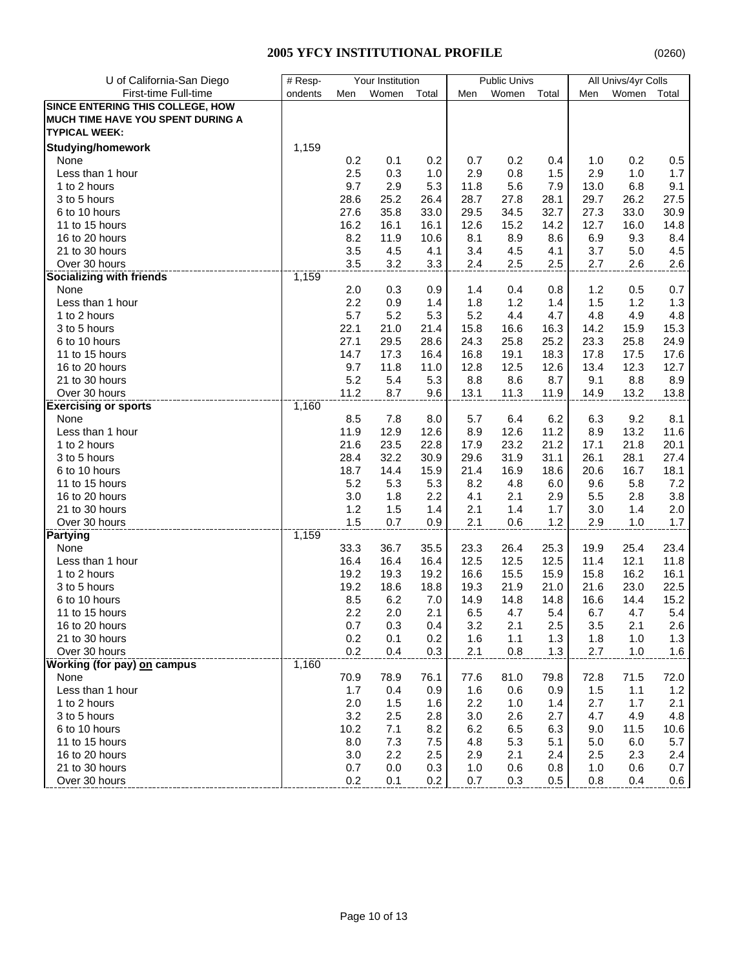| U of California-San Diego                | $#$ Resp<br>Your Institution |         |       | <b>Public Univs</b> |      | All Univs/4yr Colls |       |      |       |       |
|------------------------------------------|------------------------------|---------|-------|---------------------|------|---------------------|-------|------|-------|-------|
| First-time Full-time                     | ondents                      | Men     | Women | Total               | Men  | Women               | Total | Men  | Women | Total |
| <b>SINCE ENTERING THIS COLLEGE, HOW</b>  |                              |         |       |                     |      |                     |       |      |       |       |
| <b>MUCH TIME HAVE YOU SPENT DURING A</b> |                              |         |       |                     |      |                     |       |      |       |       |
| <b>TYPICAL WEEK:</b>                     |                              |         |       |                     |      |                     |       |      |       |       |
| <b>Studying/homework</b>                 | 1,159                        |         |       |                     |      |                     |       |      |       |       |
| None                                     |                              | 0.2     | 0.1   | 0.2                 | 0.7  | 0.2                 | 0.4   | 1.0  | 0.2   | 0.5   |
| Less than 1 hour                         |                              | 2.5     | 0.3   | 1.0                 | 2.9  | 0.8                 | 1.5   | 2.9  | 1.0   | 1.7   |
| 1 to 2 hours                             |                              | 9.7     | 2.9   | 5.3                 | 11.8 | 5.6                 | 7.9   | 13.0 | 6.8   | 9.1   |
| 3 to 5 hours                             |                              | 28.6    | 25.2  | 26.4                | 28.7 | 27.8                | 28.1  | 29.7 | 26.2  | 27.5  |
| 6 to 10 hours                            |                              | 27.6    | 35.8  | 33.0                | 29.5 | 34.5                | 32.7  | 27.3 | 33.0  | 30.9  |
| 11 to 15 hours                           |                              | 16.2    | 16.1  | 16.1                | 12.6 | 15.2                | 14.2  | 12.7 | 16.0  | 14.8  |
| 16 to 20 hours                           |                              | 8.2     | 11.9  | 10.6                | 8.1  | 8.9                 | 8.6   | 6.9  | 9.3   | 8.4   |
| 21 to 30 hours                           |                              | 3.5     | 4.5   | 4.1                 | 3.4  | 4.5                 | 4.1   | 3.7  | 5.0   | 4.5   |
| Over 30 hours                            |                              | 3.5     | 3.2   | 3.3                 | 2.4  | 2.5                 | 2.5   | 2.7  | 2.6   | 2.6   |
| <b>Socializing with friends</b>          | 1,159                        |         |       |                     |      |                     |       |      |       |       |
| None                                     |                              | 2.0     | 0.3   | 0.9                 | 1.4  | 0.4                 | 0.8   | 1.2  | 0.5   | 0.7   |
| Less than 1 hour                         |                              | 2.2     | 0.9   | 1.4                 | 1.8  | 1.2                 | 1.4   | 1.5  | 1.2   | 1.3   |
| 1 to 2 hours                             |                              | 5.7     | 5.2   | 5.3                 | 5.2  | 4.4                 | 4.7   | 4.8  | 4.9   | 4.8   |
| 3 to 5 hours                             |                              | 22.1    | 21.0  | 21.4                | 15.8 | 16.6                | 16.3  | 14.2 | 15.9  | 15.3  |
| 6 to 10 hours                            |                              | 27.1    | 29.5  | 28.6                | 24.3 | 25.8                | 25.2  | 23.3 | 25.8  | 24.9  |
| 11 to 15 hours                           |                              | 14.7    | 17.3  | 16.4                | 16.8 | 19.1                | 18.3  | 17.8 | 17.5  | 17.6  |
| 16 to 20 hours                           |                              | 9.7     | 11.8  | 11.0                | 12.8 | 12.5                | 12.6  | 13.4 | 12.3  | 12.7  |
| 21 to 30 hours                           |                              | 5.2     | 5.4   | 5.3                 | 8.8  | 8.6                 | 8.7   | 9.1  | 8.8   | 8.9   |
| Over 30 hours                            |                              | 11.2    | 8.7   | 9.6                 | 13.1 | 11.3                | 11.9  | 14.9 | 13.2  | 13.8  |
| <b>Exercising or sports</b>              | 1,160                        |         |       |                     |      |                     |       |      |       |       |
| None                                     |                              | 8.5     | 7.8   | 8.0                 | 5.7  | 6.4                 | 6.2   | 6.3  | 9.2   | 8.1   |
| Less than 1 hour                         |                              | 11.9    | 12.9  | 12.6                | 8.9  | 12.6                | 11.2  | 8.9  | 13.2  | 11.6  |
| 1 to 2 hours                             |                              | 21.6    | 23.5  | 22.8                | 17.9 | 23.2                | 21.2  | 17.1 | 21.8  | 20.1  |
| 3 to 5 hours                             |                              | 28.4    | 32.2  | 30.9                | 29.6 | 31.9                | 31.1  | 26.1 | 28.1  | 27.4  |
| 6 to 10 hours                            |                              | 18.7    | 14.4  | 15.9                | 21.4 | 16.9                | 18.6  | 20.6 | 16.7  | 18.1  |
| 11 to 15 hours                           |                              | 5.2     | 5.3   | 5.3                 | 8.2  | 4.8                 | 6.0   | 9.6  | 5.8   | 7.2   |
| 16 to 20 hours                           |                              | 3.0     | 1.8   | 2.2                 | 4.1  | 2.1                 | 2.9   | 5.5  | 2.8   | 3.8   |
| 21 to 30 hours                           |                              | 1.2     | 1.5   | 1.4                 | 2.1  | 1.4                 | 1.7   | 3.0  | 1.4   | 2.0   |
| Over 30 hours                            |                              | 1.5     | 0.7   | 0.9                 | 2.1  | 0.6                 | 1.2   | 2.9  | 1.0   | 1.7   |
| <b>Partying</b>                          | 1,159                        |         |       |                     |      |                     |       |      |       |       |
| None                                     |                              | 33.3    | 36.7  | 35.5                | 23.3 | 26.4                | 25.3  | 19.9 | 25.4  | 23.4  |
| Less than 1 hour                         |                              | 16.4    | 16.4  | 16.4                | 12.5 | 12.5                | 12.5  | 11.4 | 12.1  | 11.8  |
| 1 to 2 hours                             |                              | 19.2    | 19.3  | 19.2                | 16.6 | 15.5                | 15.9  | 15.8 | 16.2  | 16.1  |
| 3 to 5 hours                             |                              | 19.2    | 18.6  | 18.8                | 19.3 | 21.9                | 21.0  | 21.6 | 23.0  | 22.5  |
| 6 to 10 hours                            |                              | 8.5     | 6.2   | 7.0                 | 14.9 | 14.8                | 14.8  | 16.6 | 14.4  | 15.2  |
| 11 to 15 hours                           |                              | 2.2     | 2.0   | 2.1                 | 6.5  | 4.7                 | 5.4   | 6.7  | 4.7   | 5.4   |
| 16 to 20 hours                           |                              | $0.7\,$ | 0.3   | 0.4                 | 3.2  | 2.1                 | 2.5   | 3.5  | 2.1   | 2.6   |
| 21 to 30 hours                           |                              | 0.2     | 0.1   | 0.2                 | 1.6  | 1.1                 | 1.3   | 1.8  | 1.0   | 1.3   |
| Over 30 hours                            |                              | 0.2     | 0.4   | 0.3                 | 2.1  | 0.8                 | 1.3   | 2.7  | 1.0   | 1.6   |
| Working (for pay) on campus              | 1,160                        |         |       |                     |      |                     |       |      |       |       |
| None                                     |                              | 70.9    | 78.9  | 76.1                | 77.6 | 81.0                | 79.8  | 72.8 | 71.5  | 72.0  |
| Less than 1 hour                         |                              | 1.7     | 0.4   | 0.9                 | 1.6  | 0.6                 | 0.9   | 1.5  | 1.1   | 1.2   |
| 1 to 2 hours                             |                              | $2.0\,$ | 1.5   | 1.6                 | 2.2  | 1.0                 | 1.4   | 2.7  | 1.7   | 2.1   |
| 3 to 5 hours                             |                              | 3.2     | 2.5   | 2.8                 | 3.0  | 2.6                 | 2.7   | 4.7  | 4.9   | 4.8   |
| 6 to 10 hours                            |                              | 10.2    | 7.1   | 8.2                 | 6.2  | 6.5                 | 6.3   | 9.0  | 11.5  | 10.6  |
| 11 to 15 hours                           |                              | 8.0     | 7.3   | 7.5                 | 4.8  | 5.3                 | 5.1   | 5.0  | 6.0   | 5.7   |
| 16 to 20 hours                           |                              | 3.0     | 2.2   | 2.5                 | 2.9  | 2.1                 | 2.4   | 2.5  | 2.3   | 2.4   |
| 21 to 30 hours                           |                              | 0.7     | 0.0   | 0.3                 | 1.0  | 0.6                 | 0.8   | 1.0  | 0.6   | 0.7   |
| Over 30 hours                            |                              | 0.2     | 0.1   | 0.2                 | 0.7  | 0.3                 | 0.5   | 0.8  | 0.4   | 0.6   |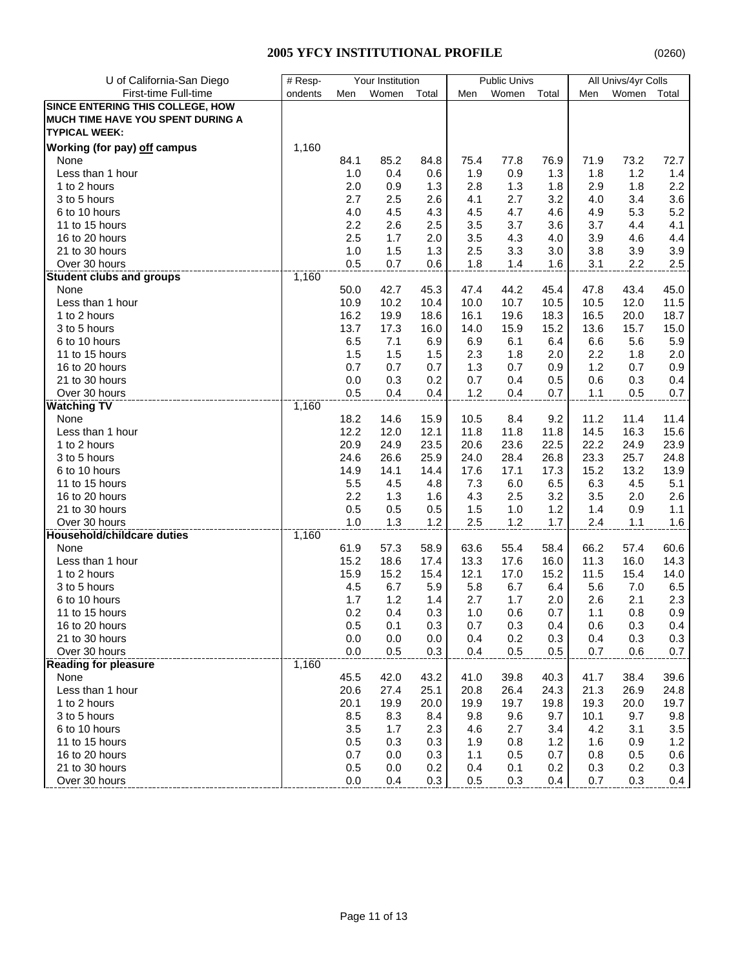| First-time Full-time<br>ondents<br>Men<br>Women<br>Total<br>Men<br>Women<br>Total<br>Women<br>Men<br>Total<br><b>SINCE ENTERING THIS COLLEGE, HOW</b><br>MUCH TIME HAVE YOU SPENT DURING A<br><b>TYPICAL WEEK:</b><br>Working (for pay) off campus<br>1,160<br>85.2<br>75.4<br>73.2<br>72.7<br>None<br>84.1<br>84.8<br>77.8<br>76.9<br>71.9<br>Less than 1 hour<br>1.0<br>0.4<br>0.6<br>1.9<br>0.9<br>1.3<br>1.8<br>1.2<br>1.4<br>2.2<br>2.0<br>1.3<br>2.8<br>1.3<br>2.9<br>1.8<br>1 to 2 hours<br>0.9<br>1.8<br>2.7<br>3.2<br>3.6<br>3 to 5 hours<br>2.5<br>2.6<br>4.1<br>2.7<br>4.0<br>3.4<br>5.2<br>4.0<br>4.5<br>4.3<br>4.5<br>4.7<br>5.3<br>6 to 10 hours<br>4.6<br>4.9<br>11 to 15 hours<br>2.2<br>2.6<br>2.5<br>3.5<br>3.7<br>3.6<br>3.7<br>4.1<br>4.4<br>2.5<br>1.7<br>2.0<br>3.5<br>4.3<br>3.9<br>4.4<br>16 to 20 hours<br>4.0<br>4.6<br>21 to 30 hours<br>1.0<br>1.5<br>1.3<br>2.5<br>3.3<br>3.0<br>3.8<br>3.9<br>3.9<br>0.5<br>1.6<br>Over 30 hours<br>0.7<br>0.6<br>1.8<br>1.4<br>3.1<br>2.2<br>2.5<br>1,160<br><b>Student clubs and groups</b><br>44.2<br>45.0<br>50.0<br>42.7<br>45.3<br>47.4<br>45.4<br>47.8<br>43.4<br>None<br>10.9<br>10.2<br>10.0<br>10.7<br>10.5<br>12.0<br>11.5<br>Less than 1 hour<br>10.4<br>10.5<br>16.2<br>16.1<br>16.5<br>18.7<br>1 to 2 hours<br>19.9<br>18.6<br>19.6<br>18.3<br>20.0<br>17.3<br>13.7<br>14.0<br>15.9<br>13.6<br>15.7<br>15.0<br>3 to 5 hours<br>16.0<br>15.2<br>6.5<br>7.1<br>6.9<br>6.9<br>5.6<br>5.9<br>6 to 10 hours<br>6.1<br>6.4<br>6.6<br>1.5<br>1.5<br>$2.0\,$<br>2.2<br>2.0<br>11 to 15 hours<br>1.5<br>2.3<br>1.8<br>1.8<br>0.7<br>0.7<br>1.2<br>16 to 20 hours<br>0.7<br>1.3<br>0.7<br>0.9<br>0.7<br>0.9<br>21 to 30 hours<br>0.0<br>0.3<br>0.2<br>0.7<br>0.4<br>0.5<br>0.6<br>0.3<br>0.4<br>0.7<br>Over 30 hours<br>0.5<br>0.4<br>0.4<br>1.2<br>0.4<br>0.7<br>1.1<br>0.5<br>1,160<br><b>Watching TV</b><br>18.2<br>9.2<br>11.2<br>11.4<br>14.6<br>15.9<br>10.5<br>8.4<br>11.4<br>None<br>14.5<br>Less than 1 hour<br>12.2<br>12.0<br>12.1<br>11.8<br>11.8<br>16.3<br>15.6<br>11.8<br>20.9<br>24.9<br>23.5<br>20.6<br>23.6<br>22.5<br>22.2<br>24.9<br>23.9<br>1 to 2 hours<br>24.6<br>26.6<br>25.9<br>24.0<br>28.4<br>26.8<br>23.3<br>25.7<br>24.8<br>3 to 5 hours<br>14.9<br>17.6<br>15.2<br>13.2<br>13.9<br>6 to 10 hours<br>14.1<br>14.4<br>17.1<br>17.3<br>5.5<br>6.5<br>6.3<br>4.5<br>11 to 15 hours<br>4.5<br>4.8<br>7.3<br>6.0<br>5.1<br>2.2<br>16 to 20 hours<br>1.3<br>1.6<br>4.3<br>2.5<br>3.2<br>3.5<br>2.0<br>2.6<br>21 to 30 hours<br>0.5<br>0.5<br>0.5<br>1.5<br>1.2<br>0.9<br>1.1<br>1.0<br>1.4<br>Over 30 hours<br>1.0<br>1.3<br>1.2<br>2.5<br>1.2<br>1.7<br>2.4<br>1.1<br>1.6<br>1,160<br>Household/childcare duties<br>66.2<br>None<br>61.9<br>57.3<br>58.9<br>63.6<br>55.4<br>58.4<br>57.4<br>60.6<br>Less than 1 hour<br>15.2<br>18.6<br>13.3<br>17.6<br>11.3<br>16.0<br>17.4<br>16.0<br>14.3<br>15.9<br>15.2<br>12.1<br>11.5<br>15.4<br>1 to 2 hours<br>15.4<br>17.0<br>15.2<br>14.0<br>6.7<br>3 to 5 hours<br>4.5<br>6.7<br>5.9<br>5.8<br>6.4<br>5.6<br>7.0<br>6.5<br>2.3<br>1.7<br>1.2<br>2.7<br>1.7<br>2.6<br>2.1<br>6 to 10 hours<br>1.4<br>2.0<br>0.2<br>0.4<br>1.0<br>0.6<br>0.8<br>0.9<br>11 to 15 hours<br>0.3<br>0.7<br>1.1<br>0.7<br>0.3<br>0.5<br>0.3<br>0.6<br>0.4<br>16 to 20 hours<br>0.1<br>0.3<br>0.4<br>21 to 30 hours<br>0.0<br>0.0<br>0.4<br>0.2<br>0.3<br>0.4<br>0.3<br>0.3<br>0.0<br>0.3<br>Over 30 hours<br>0.0<br>0.5<br>0.4<br>0.5<br>0.5<br>0.7<br>0.6<br>0.7<br>1,160<br><b>Reading for pleasure</b><br>45.5<br>39.6<br>None<br>42.0<br>43.2<br>41.0<br>39.8<br>40.3<br>41.7<br>38.4<br>Less than 1 hour<br>20.6<br>26.4<br>21.3<br>27.4<br>25.1<br>20.8<br>24.3<br>26.9<br>24.8<br>1 to 2 hours<br>20.1<br>19.9<br>20.0<br>19.9<br>19.7<br>19.8<br>19.3<br>20.0<br>19.7<br>3 to 5 hours<br>8.5<br>8.3<br>9.8<br>9.6<br>10.1<br>9.7<br>9.8<br>8.4<br>9.7<br>6 to 10 hours<br>3.5<br>1.7<br>2.3<br>4.6<br>2.7<br>4.2<br>3.1<br>3.5<br>3.4<br>11 to 15 hours<br>0.5<br>0.3<br>1.6<br>1.2<br>0.3<br>1.9<br>0.8<br>1.2<br>0.9<br>16 to 20 hours<br>0.7<br>0.3<br>0.5<br>0.7<br>0.5<br>0.0<br>1.1<br>0.8<br>0.6<br>0.3<br>21 to 30 hours<br>0.5<br>0.2<br>0.1<br>0.2<br>0.2<br>0.0<br>0.4<br>0.3 | U of California-San Diego | # Resp-<br>Your Institution |     |     | <b>Public Univs</b> |     | All Univs/4yr Colls |     |     |     |     |
|-----------------------------------------------------------------------------------------------------------------------------------------------------------------------------------------------------------------------------------------------------------------------------------------------------------------------------------------------------------------------------------------------------------------------------------------------------------------------------------------------------------------------------------------------------------------------------------------------------------------------------------------------------------------------------------------------------------------------------------------------------------------------------------------------------------------------------------------------------------------------------------------------------------------------------------------------------------------------------------------------------------------------------------------------------------------------------------------------------------------------------------------------------------------------------------------------------------------------------------------------------------------------------------------------------------------------------------------------------------------------------------------------------------------------------------------------------------------------------------------------------------------------------------------------------------------------------------------------------------------------------------------------------------------------------------------------------------------------------------------------------------------------------------------------------------------------------------------------------------------------------------------------------------------------------------------------------------------------------------------------------------------------------------------------------------------------------------------------------------------------------------------------------------------------------------------------------------------------------------------------------------------------------------------------------------------------------------------------------------------------------------------------------------------------------------------------------------------------------------------------------------------------------------------------------------------------------------------------------------------------------------------------------------------------------------------------------------------------------------------------------------------------------------------------------------------------------------------------------------------------------------------------------------------------------------------------------------------------------------------------------------------------------------------------------------------------------------------------------------------------------------------------------------------------------------------------------------------------------------------------------------------------------------------------------------------------------------------------------------------------------------------------------------------------------------------------------------------------------------------------------------------------------------------------------------------------------------------------------------------------------------------------------------------------------------------------------------------------------------------------------------------------------------------------------------------------------------------------------------------------------------------------------------------------------------------------------------------------------------------------------------------------------------------------------------------------------------------------------------------------------------------------------------------------------------------------------------------|---------------------------|-----------------------------|-----|-----|---------------------|-----|---------------------|-----|-----|-----|-----|
|                                                                                                                                                                                                                                                                                                                                                                                                                                                                                                                                                                                                                                                                                                                                                                                                                                                                                                                                                                                                                                                                                                                                                                                                                                                                                                                                                                                                                                                                                                                                                                                                                                                                                                                                                                                                                                                                                                                                                                                                                                                                                                                                                                                                                                                                                                                                                                                                                                                                                                                                                                                                                                                                                                                                                                                                                                                                                                                                                                                                                                                                                                                                                                                                                                                                                                                                                                                                                                                                                                                                                                                                                                                                                                                                                                                                                                                                                                                                                                                                                                                                                                                                                                                                                 |                           |                             |     |     |                     |     |                     |     |     |     |     |
|                                                                                                                                                                                                                                                                                                                                                                                                                                                                                                                                                                                                                                                                                                                                                                                                                                                                                                                                                                                                                                                                                                                                                                                                                                                                                                                                                                                                                                                                                                                                                                                                                                                                                                                                                                                                                                                                                                                                                                                                                                                                                                                                                                                                                                                                                                                                                                                                                                                                                                                                                                                                                                                                                                                                                                                                                                                                                                                                                                                                                                                                                                                                                                                                                                                                                                                                                                                                                                                                                                                                                                                                                                                                                                                                                                                                                                                                                                                                                                                                                                                                                                                                                                                                                 |                           |                             |     |     |                     |     |                     |     |     |     |     |
|                                                                                                                                                                                                                                                                                                                                                                                                                                                                                                                                                                                                                                                                                                                                                                                                                                                                                                                                                                                                                                                                                                                                                                                                                                                                                                                                                                                                                                                                                                                                                                                                                                                                                                                                                                                                                                                                                                                                                                                                                                                                                                                                                                                                                                                                                                                                                                                                                                                                                                                                                                                                                                                                                                                                                                                                                                                                                                                                                                                                                                                                                                                                                                                                                                                                                                                                                                                                                                                                                                                                                                                                                                                                                                                                                                                                                                                                                                                                                                                                                                                                                                                                                                                                                 |                           |                             |     |     |                     |     |                     |     |     |     |     |
|                                                                                                                                                                                                                                                                                                                                                                                                                                                                                                                                                                                                                                                                                                                                                                                                                                                                                                                                                                                                                                                                                                                                                                                                                                                                                                                                                                                                                                                                                                                                                                                                                                                                                                                                                                                                                                                                                                                                                                                                                                                                                                                                                                                                                                                                                                                                                                                                                                                                                                                                                                                                                                                                                                                                                                                                                                                                                                                                                                                                                                                                                                                                                                                                                                                                                                                                                                                                                                                                                                                                                                                                                                                                                                                                                                                                                                                                                                                                                                                                                                                                                                                                                                                                                 |                           |                             |     |     |                     |     |                     |     |     |     |     |
|                                                                                                                                                                                                                                                                                                                                                                                                                                                                                                                                                                                                                                                                                                                                                                                                                                                                                                                                                                                                                                                                                                                                                                                                                                                                                                                                                                                                                                                                                                                                                                                                                                                                                                                                                                                                                                                                                                                                                                                                                                                                                                                                                                                                                                                                                                                                                                                                                                                                                                                                                                                                                                                                                                                                                                                                                                                                                                                                                                                                                                                                                                                                                                                                                                                                                                                                                                                                                                                                                                                                                                                                                                                                                                                                                                                                                                                                                                                                                                                                                                                                                                                                                                                                                 |                           |                             |     |     |                     |     |                     |     |     |     |     |
|                                                                                                                                                                                                                                                                                                                                                                                                                                                                                                                                                                                                                                                                                                                                                                                                                                                                                                                                                                                                                                                                                                                                                                                                                                                                                                                                                                                                                                                                                                                                                                                                                                                                                                                                                                                                                                                                                                                                                                                                                                                                                                                                                                                                                                                                                                                                                                                                                                                                                                                                                                                                                                                                                                                                                                                                                                                                                                                                                                                                                                                                                                                                                                                                                                                                                                                                                                                                                                                                                                                                                                                                                                                                                                                                                                                                                                                                                                                                                                                                                                                                                                                                                                                                                 |                           |                             |     |     |                     |     |                     |     |     |     |     |
|                                                                                                                                                                                                                                                                                                                                                                                                                                                                                                                                                                                                                                                                                                                                                                                                                                                                                                                                                                                                                                                                                                                                                                                                                                                                                                                                                                                                                                                                                                                                                                                                                                                                                                                                                                                                                                                                                                                                                                                                                                                                                                                                                                                                                                                                                                                                                                                                                                                                                                                                                                                                                                                                                                                                                                                                                                                                                                                                                                                                                                                                                                                                                                                                                                                                                                                                                                                                                                                                                                                                                                                                                                                                                                                                                                                                                                                                                                                                                                                                                                                                                                                                                                                                                 |                           |                             |     |     |                     |     |                     |     |     |     |     |
|                                                                                                                                                                                                                                                                                                                                                                                                                                                                                                                                                                                                                                                                                                                                                                                                                                                                                                                                                                                                                                                                                                                                                                                                                                                                                                                                                                                                                                                                                                                                                                                                                                                                                                                                                                                                                                                                                                                                                                                                                                                                                                                                                                                                                                                                                                                                                                                                                                                                                                                                                                                                                                                                                                                                                                                                                                                                                                                                                                                                                                                                                                                                                                                                                                                                                                                                                                                                                                                                                                                                                                                                                                                                                                                                                                                                                                                                                                                                                                                                                                                                                                                                                                                                                 |                           |                             |     |     |                     |     |                     |     |     |     |     |
|                                                                                                                                                                                                                                                                                                                                                                                                                                                                                                                                                                                                                                                                                                                                                                                                                                                                                                                                                                                                                                                                                                                                                                                                                                                                                                                                                                                                                                                                                                                                                                                                                                                                                                                                                                                                                                                                                                                                                                                                                                                                                                                                                                                                                                                                                                                                                                                                                                                                                                                                                                                                                                                                                                                                                                                                                                                                                                                                                                                                                                                                                                                                                                                                                                                                                                                                                                                                                                                                                                                                                                                                                                                                                                                                                                                                                                                                                                                                                                                                                                                                                                                                                                                                                 |                           |                             |     |     |                     |     |                     |     |     |     |     |
|                                                                                                                                                                                                                                                                                                                                                                                                                                                                                                                                                                                                                                                                                                                                                                                                                                                                                                                                                                                                                                                                                                                                                                                                                                                                                                                                                                                                                                                                                                                                                                                                                                                                                                                                                                                                                                                                                                                                                                                                                                                                                                                                                                                                                                                                                                                                                                                                                                                                                                                                                                                                                                                                                                                                                                                                                                                                                                                                                                                                                                                                                                                                                                                                                                                                                                                                                                                                                                                                                                                                                                                                                                                                                                                                                                                                                                                                                                                                                                                                                                                                                                                                                                                                                 |                           |                             |     |     |                     |     |                     |     |     |     |     |
|                                                                                                                                                                                                                                                                                                                                                                                                                                                                                                                                                                                                                                                                                                                                                                                                                                                                                                                                                                                                                                                                                                                                                                                                                                                                                                                                                                                                                                                                                                                                                                                                                                                                                                                                                                                                                                                                                                                                                                                                                                                                                                                                                                                                                                                                                                                                                                                                                                                                                                                                                                                                                                                                                                                                                                                                                                                                                                                                                                                                                                                                                                                                                                                                                                                                                                                                                                                                                                                                                                                                                                                                                                                                                                                                                                                                                                                                                                                                                                                                                                                                                                                                                                                                                 |                           |                             |     |     |                     |     |                     |     |     |     |     |
|                                                                                                                                                                                                                                                                                                                                                                                                                                                                                                                                                                                                                                                                                                                                                                                                                                                                                                                                                                                                                                                                                                                                                                                                                                                                                                                                                                                                                                                                                                                                                                                                                                                                                                                                                                                                                                                                                                                                                                                                                                                                                                                                                                                                                                                                                                                                                                                                                                                                                                                                                                                                                                                                                                                                                                                                                                                                                                                                                                                                                                                                                                                                                                                                                                                                                                                                                                                                                                                                                                                                                                                                                                                                                                                                                                                                                                                                                                                                                                                                                                                                                                                                                                                                                 |                           |                             |     |     |                     |     |                     |     |     |     |     |
|                                                                                                                                                                                                                                                                                                                                                                                                                                                                                                                                                                                                                                                                                                                                                                                                                                                                                                                                                                                                                                                                                                                                                                                                                                                                                                                                                                                                                                                                                                                                                                                                                                                                                                                                                                                                                                                                                                                                                                                                                                                                                                                                                                                                                                                                                                                                                                                                                                                                                                                                                                                                                                                                                                                                                                                                                                                                                                                                                                                                                                                                                                                                                                                                                                                                                                                                                                                                                                                                                                                                                                                                                                                                                                                                                                                                                                                                                                                                                                                                                                                                                                                                                                                                                 |                           |                             |     |     |                     |     |                     |     |     |     |     |
|                                                                                                                                                                                                                                                                                                                                                                                                                                                                                                                                                                                                                                                                                                                                                                                                                                                                                                                                                                                                                                                                                                                                                                                                                                                                                                                                                                                                                                                                                                                                                                                                                                                                                                                                                                                                                                                                                                                                                                                                                                                                                                                                                                                                                                                                                                                                                                                                                                                                                                                                                                                                                                                                                                                                                                                                                                                                                                                                                                                                                                                                                                                                                                                                                                                                                                                                                                                                                                                                                                                                                                                                                                                                                                                                                                                                                                                                                                                                                                                                                                                                                                                                                                                                                 |                           |                             |     |     |                     |     |                     |     |     |     |     |
|                                                                                                                                                                                                                                                                                                                                                                                                                                                                                                                                                                                                                                                                                                                                                                                                                                                                                                                                                                                                                                                                                                                                                                                                                                                                                                                                                                                                                                                                                                                                                                                                                                                                                                                                                                                                                                                                                                                                                                                                                                                                                                                                                                                                                                                                                                                                                                                                                                                                                                                                                                                                                                                                                                                                                                                                                                                                                                                                                                                                                                                                                                                                                                                                                                                                                                                                                                                                                                                                                                                                                                                                                                                                                                                                                                                                                                                                                                                                                                                                                                                                                                                                                                                                                 |                           |                             |     |     |                     |     |                     |     |     |     |     |
|                                                                                                                                                                                                                                                                                                                                                                                                                                                                                                                                                                                                                                                                                                                                                                                                                                                                                                                                                                                                                                                                                                                                                                                                                                                                                                                                                                                                                                                                                                                                                                                                                                                                                                                                                                                                                                                                                                                                                                                                                                                                                                                                                                                                                                                                                                                                                                                                                                                                                                                                                                                                                                                                                                                                                                                                                                                                                                                                                                                                                                                                                                                                                                                                                                                                                                                                                                                                                                                                                                                                                                                                                                                                                                                                                                                                                                                                                                                                                                                                                                                                                                                                                                                                                 |                           |                             |     |     |                     |     |                     |     |     |     |     |
|                                                                                                                                                                                                                                                                                                                                                                                                                                                                                                                                                                                                                                                                                                                                                                                                                                                                                                                                                                                                                                                                                                                                                                                                                                                                                                                                                                                                                                                                                                                                                                                                                                                                                                                                                                                                                                                                                                                                                                                                                                                                                                                                                                                                                                                                                                                                                                                                                                                                                                                                                                                                                                                                                                                                                                                                                                                                                                                                                                                                                                                                                                                                                                                                                                                                                                                                                                                                                                                                                                                                                                                                                                                                                                                                                                                                                                                                                                                                                                                                                                                                                                                                                                                                                 |                           |                             |     |     |                     |     |                     |     |     |     |     |
|                                                                                                                                                                                                                                                                                                                                                                                                                                                                                                                                                                                                                                                                                                                                                                                                                                                                                                                                                                                                                                                                                                                                                                                                                                                                                                                                                                                                                                                                                                                                                                                                                                                                                                                                                                                                                                                                                                                                                                                                                                                                                                                                                                                                                                                                                                                                                                                                                                                                                                                                                                                                                                                                                                                                                                                                                                                                                                                                                                                                                                                                                                                                                                                                                                                                                                                                                                                                                                                                                                                                                                                                                                                                                                                                                                                                                                                                                                                                                                                                                                                                                                                                                                                                                 |                           |                             |     |     |                     |     |                     |     |     |     |     |
|                                                                                                                                                                                                                                                                                                                                                                                                                                                                                                                                                                                                                                                                                                                                                                                                                                                                                                                                                                                                                                                                                                                                                                                                                                                                                                                                                                                                                                                                                                                                                                                                                                                                                                                                                                                                                                                                                                                                                                                                                                                                                                                                                                                                                                                                                                                                                                                                                                                                                                                                                                                                                                                                                                                                                                                                                                                                                                                                                                                                                                                                                                                                                                                                                                                                                                                                                                                                                                                                                                                                                                                                                                                                                                                                                                                                                                                                                                                                                                                                                                                                                                                                                                                                                 |                           |                             |     |     |                     |     |                     |     |     |     |     |
|                                                                                                                                                                                                                                                                                                                                                                                                                                                                                                                                                                                                                                                                                                                                                                                                                                                                                                                                                                                                                                                                                                                                                                                                                                                                                                                                                                                                                                                                                                                                                                                                                                                                                                                                                                                                                                                                                                                                                                                                                                                                                                                                                                                                                                                                                                                                                                                                                                                                                                                                                                                                                                                                                                                                                                                                                                                                                                                                                                                                                                                                                                                                                                                                                                                                                                                                                                                                                                                                                                                                                                                                                                                                                                                                                                                                                                                                                                                                                                                                                                                                                                                                                                                                                 |                           |                             |     |     |                     |     |                     |     |     |     |     |
|                                                                                                                                                                                                                                                                                                                                                                                                                                                                                                                                                                                                                                                                                                                                                                                                                                                                                                                                                                                                                                                                                                                                                                                                                                                                                                                                                                                                                                                                                                                                                                                                                                                                                                                                                                                                                                                                                                                                                                                                                                                                                                                                                                                                                                                                                                                                                                                                                                                                                                                                                                                                                                                                                                                                                                                                                                                                                                                                                                                                                                                                                                                                                                                                                                                                                                                                                                                                                                                                                                                                                                                                                                                                                                                                                                                                                                                                                                                                                                                                                                                                                                                                                                                                                 |                           |                             |     |     |                     |     |                     |     |     |     |     |
|                                                                                                                                                                                                                                                                                                                                                                                                                                                                                                                                                                                                                                                                                                                                                                                                                                                                                                                                                                                                                                                                                                                                                                                                                                                                                                                                                                                                                                                                                                                                                                                                                                                                                                                                                                                                                                                                                                                                                                                                                                                                                                                                                                                                                                                                                                                                                                                                                                                                                                                                                                                                                                                                                                                                                                                                                                                                                                                                                                                                                                                                                                                                                                                                                                                                                                                                                                                                                                                                                                                                                                                                                                                                                                                                                                                                                                                                                                                                                                                                                                                                                                                                                                                                                 |                           |                             |     |     |                     |     |                     |     |     |     |     |
|                                                                                                                                                                                                                                                                                                                                                                                                                                                                                                                                                                                                                                                                                                                                                                                                                                                                                                                                                                                                                                                                                                                                                                                                                                                                                                                                                                                                                                                                                                                                                                                                                                                                                                                                                                                                                                                                                                                                                                                                                                                                                                                                                                                                                                                                                                                                                                                                                                                                                                                                                                                                                                                                                                                                                                                                                                                                                                                                                                                                                                                                                                                                                                                                                                                                                                                                                                                                                                                                                                                                                                                                                                                                                                                                                                                                                                                                                                                                                                                                                                                                                                                                                                                                                 |                           |                             |     |     |                     |     |                     |     |     |     |     |
|                                                                                                                                                                                                                                                                                                                                                                                                                                                                                                                                                                                                                                                                                                                                                                                                                                                                                                                                                                                                                                                                                                                                                                                                                                                                                                                                                                                                                                                                                                                                                                                                                                                                                                                                                                                                                                                                                                                                                                                                                                                                                                                                                                                                                                                                                                                                                                                                                                                                                                                                                                                                                                                                                                                                                                                                                                                                                                                                                                                                                                                                                                                                                                                                                                                                                                                                                                                                                                                                                                                                                                                                                                                                                                                                                                                                                                                                                                                                                                                                                                                                                                                                                                                                                 |                           |                             |     |     |                     |     |                     |     |     |     |     |
|                                                                                                                                                                                                                                                                                                                                                                                                                                                                                                                                                                                                                                                                                                                                                                                                                                                                                                                                                                                                                                                                                                                                                                                                                                                                                                                                                                                                                                                                                                                                                                                                                                                                                                                                                                                                                                                                                                                                                                                                                                                                                                                                                                                                                                                                                                                                                                                                                                                                                                                                                                                                                                                                                                                                                                                                                                                                                                                                                                                                                                                                                                                                                                                                                                                                                                                                                                                                                                                                                                                                                                                                                                                                                                                                                                                                                                                                                                                                                                                                                                                                                                                                                                                                                 |                           |                             |     |     |                     |     |                     |     |     |     |     |
|                                                                                                                                                                                                                                                                                                                                                                                                                                                                                                                                                                                                                                                                                                                                                                                                                                                                                                                                                                                                                                                                                                                                                                                                                                                                                                                                                                                                                                                                                                                                                                                                                                                                                                                                                                                                                                                                                                                                                                                                                                                                                                                                                                                                                                                                                                                                                                                                                                                                                                                                                                                                                                                                                                                                                                                                                                                                                                                                                                                                                                                                                                                                                                                                                                                                                                                                                                                                                                                                                                                                                                                                                                                                                                                                                                                                                                                                                                                                                                                                                                                                                                                                                                                                                 |                           |                             |     |     |                     |     |                     |     |     |     |     |
|                                                                                                                                                                                                                                                                                                                                                                                                                                                                                                                                                                                                                                                                                                                                                                                                                                                                                                                                                                                                                                                                                                                                                                                                                                                                                                                                                                                                                                                                                                                                                                                                                                                                                                                                                                                                                                                                                                                                                                                                                                                                                                                                                                                                                                                                                                                                                                                                                                                                                                                                                                                                                                                                                                                                                                                                                                                                                                                                                                                                                                                                                                                                                                                                                                                                                                                                                                                                                                                                                                                                                                                                                                                                                                                                                                                                                                                                                                                                                                                                                                                                                                                                                                                                                 |                           |                             |     |     |                     |     |                     |     |     |     |     |
|                                                                                                                                                                                                                                                                                                                                                                                                                                                                                                                                                                                                                                                                                                                                                                                                                                                                                                                                                                                                                                                                                                                                                                                                                                                                                                                                                                                                                                                                                                                                                                                                                                                                                                                                                                                                                                                                                                                                                                                                                                                                                                                                                                                                                                                                                                                                                                                                                                                                                                                                                                                                                                                                                                                                                                                                                                                                                                                                                                                                                                                                                                                                                                                                                                                                                                                                                                                                                                                                                                                                                                                                                                                                                                                                                                                                                                                                                                                                                                                                                                                                                                                                                                                                                 |                           |                             |     |     |                     |     |                     |     |     |     |     |
|                                                                                                                                                                                                                                                                                                                                                                                                                                                                                                                                                                                                                                                                                                                                                                                                                                                                                                                                                                                                                                                                                                                                                                                                                                                                                                                                                                                                                                                                                                                                                                                                                                                                                                                                                                                                                                                                                                                                                                                                                                                                                                                                                                                                                                                                                                                                                                                                                                                                                                                                                                                                                                                                                                                                                                                                                                                                                                                                                                                                                                                                                                                                                                                                                                                                                                                                                                                                                                                                                                                                                                                                                                                                                                                                                                                                                                                                                                                                                                                                                                                                                                                                                                                                                 |                           |                             |     |     |                     |     |                     |     |     |     |     |
|                                                                                                                                                                                                                                                                                                                                                                                                                                                                                                                                                                                                                                                                                                                                                                                                                                                                                                                                                                                                                                                                                                                                                                                                                                                                                                                                                                                                                                                                                                                                                                                                                                                                                                                                                                                                                                                                                                                                                                                                                                                                                                                                                                                                                                                                                                                                                                                                                                                                                                                                                                                                                                                                                                                                                                                                                                                                                                                                                                                                                                                                                                                                                                                                                                                                                                                                                                                                                                                                                                                                                                                                                                                                                                                                                                                                                                                                                                                                                                                                                                                                                                                                                                                                                 |                           |                             |     |     |                     |     |                     |     |     |     |     |
|                                                                                                                                                                                                                                                                                                                                                                                                                                                                                                                                                                                                                                                                                                                                                                                                                                                                                                                                                                                                                                                                                                                                                                                                                                                                                                                                                                                                                                                                                                                                                                                                                                                                                                                                                                                                                                                                                                                                                                                                                                                                                                                                                                                                                                                                                                                                                                                                                                                                                                                                                                                                                                                                                                                                                                                                                                                                                                                                                                                                                                                                                                                                                                                                                                                                                                                                                                                                                                                                                                                                                                                                                                                                                                                                                                                                                                                                                                                                                                                                                                                                                                                                                                                                                 |                           |                             |     |     |                     |     |                     |     |     |     |     |
|                                                                                                                                                                                                                                                                                                                                                                                                                                                                                                                                                                                                                                                                                                                                                                                                                                                                                                                                                                                                                                                                                                                                                                                                                                                                                                                                                                                                                                                                                                                                                                                                                                                                                                                                                                                                                                                                                                                                                                                                                                                                                                                                                                                                                                                                                                                                                                                                                                                                                                                                                                                                                                                                                                                                                                                                                                                                                                                                                                                                                                                                                                                                                                                                                                                                                                                                                                                                                                                                                                                                                                                                                                                                                                                                                                                                                                                                                                                                                                                                                                                                                                                                                                                                                 |                           |                             |     |     |                     |     |                     |     |     |     |     |
|                                                                                                                                                                                                                                                                                                                                                                                                                                                                                                                                                                                                                                                                                                                                                                                                                                                                                                                                                                                                                                                                                                                                                                                                                                                                                                                                                                                                                                                                                                                                                                                                                                                                                                                                                                                                                                                                                                                                                                                                                                                                                                                                                                                                                                                                                                                                                                                                                                                                                                                                                                                                                                                                                                                                                                                                                                                                                                                                                                                                                                                                                                                                                                                                                                                                                                                                                                                                                                                                                                                                                                                                                                                                                                                                                                                                                                                                                                                                                                                                                                                                                                                                                                                                                 |                           |                             |     |     |                     |     |                     |     |     |     |     |
|                                                                                                                                                                                                                                                                                                                                                                                                                                                                                                                                                                                                                                                                                                                                                                                                                                                                                                                                                                                                                                                                                                                                                                                                                                                                                                                                                                                                                                                                                                                                                                                                                                                                                                                                                                                                                                                                                                                                                                                                                                                                                                                                                                                                                                                                                                                                                                                                                                                                                                                                                                                                                                                                                                                                                                                                                                                                                                                                                                                                                                                                                                                                                                                                                                                                                                                                                                                                                                                                                                                                                                                                                                                                                                                                                                                                                                                                                                                                                                                                                                                                                                                                                                                                                 |                           |                             |     |     |                     |     |                     |     |     |     |     |
|                                                                                                                                                                                                                                                                                                                                                                                                                                                                                                                                                                                                                                                                                                                                                                                                                                                                                                                                                                                                                                                                                                                                                                                                                                                                                                                                                                                                                                                                                                                                                                                                                                                                                                                                                                                                                                                                                                                                                                                                                                                                                                                                                                                                                                                                                                                                                                                                                                                                                                                                                                                                                                                                                                                                                                                                                                                                                                                                                                                                                                                                                                                                                                                                                                                                                                                                                                                                                                                                                                                                                                                                                                                                                                                                                                                                                                                                                                                                                                                                                                                                                                                                                                                                                 |                           |                             |     |     |                     |     |                     |     |     |     |     |
|                                                                                                                                                                                                                                                                                                                                                                                                                                                                                                                                                                                                                                                                                                                                                                                                                                                                                                                                                                                                                                                                                                                                                                                                                                                                                                                                                                                                                                                                                                                                                                                                                                                                                                                                                                                                                                                                                                                                                                                                                                                                                                                                                                                                                                                                                                                                                                                                                                                                                                                                                                                                                                                                                                                                                                                                                                                                                                                                                                                                                                                                                                                                                                                                                                                                                                                                                                                                                                                                                                                                                                                                                                                                                                                                                                                                                                                                                                                                                                                                                                                                                                                                                                                                                 |                           |                             |     |     |                     |     |                     |     |     |     |     |
|                                                                                                                                                                                                                                                                                                                                                                                                                                                                                                                                                                                                                                                                                                                                                                                                                                                                                                                                                                                                                                                                                                                                                                                                                                                                                                                                                                                                                                                                                                                                                                                                                                                                                                                                                                                                                                                                                                                                                                                                                                                                                                                                                                                                                                                                                                                                                                                                                                                                                                                                                                                                                                                                                                                                                                                                                                                                                                                                                                                                                                                                                                                                                                                                                                                                                                                                                                                                                                                                                                                                                                                                                                                                                                                                                                                                                                                                                                                                                                                                                                                                                                                                                                                                                 |                           |                             |     |     |                     |     |                     |     |     |     |     |
|                                                                                                                                                                                                                                                                                                                                                                                                                                                                                                                                                                                                                                                                                                                                                                                                                                                                                                                                                                                                                                                                                                                                                                                                                                                                                                                                                                                                                                                                                                                                                                                                                                                                                                                                                                                                                                                                                                                                                                                                                                                                                                                                                                                                                                                                                                                                                                                                                                                                                                                                                                                                                                                                                                                                                                                                                                                                                                                                                                                                                                                                                                                                                                                                                                                                                                                                                                                                                                                                                                                                                                                                                                                                                                                                                                                                                                                                                                                                                                                                                                                                                                                                                                                                                 |                           |                             |     |     |                     |     |                     |     |     |     |     |
|                                                                                                                                                                                                                                                                                                                                                                                                                                                                                                                                                                                                                                                                                                                                                                                                                                                                                                                                                                                                                                                                                                                                                                                                                                                                                                                                                                                                                                                                                                                                                                                                                                                                                                                                                                                                                                                                                                                                                                                                                                                                                                                                                                                                                                                                                                                                                                                                                                                                                                                                                                                                                                                                                                                                                                                                                                                                                                                                                                                                                                                                                                                                                                                                                                                                                                                                                                                                                                                                                                                                                                                                                                                                                                                                                                                                                                                                                                                                                                                                                                                                                                                                                                                                                 |                           |                             |     |     |                     |     |                     |     |     |     |     |
|                                                                                                                                                                                                                                                                                                                                                                                                                                                                                                                                                                                                                                                                                                                                                                                                                                                                                                                                                                                                                                                                                                                                                                                                                                                                                                                                                                                                                                                                                                                                                                                                                                                                                                                                                                                                                                                                                                                                                                                                                                                                                                                                                                                                                                                                                                                                                                                                                                                                                                                                                                                                                                                                                                                                                                                                                                                                                                                                                                                                                                                                                                                                                                                                                                                                                                                                                                                                                                                                                                                                                                                                                                                                                                                                                                                                                                                                                                                                                                                                                                                                                                                                                                                                                 |                           |                             |     |     |                     |     |                     |     |     |     |     |
|                                                                                                                                                                                                                                                                                                                                                                                                                                                                                                                                                                                                                                                                                                                                                                                                                                                                                                                                                                                                                                                                                                                                                                                                                                                                                                                                                                                                                                                                                                                                                                                                                                                                                                                                                                                                                                                                                                                                                                                                                                                                                                                                                                                                                                                                                                                                                                                                                                                                                                                                                                                                                                                                                                                                                                                                                                                                                                                                                                                                                                                                                                                                                                                                                                                                                                                                                                                                                                                                                                                                                                                                                                                                                                                                                                                                                                                                                                                                                                                                                                                                                                                                                                                                                 |                           |                             |     |     |                     |     |                     |     |     |     |     |
|                                                                                                                                                                                                                                                                                                                                                                                                                                                                                                                                                                                                                                                                                                                                                                                                                                                                                                                                                                                                                                                                                                                                                                                                                                                                                                                                                                                                                                                                                                                                                                                                                                                                                                                                                                                                                                                                                                                                                                                                                                                                                                                                                                                                                                                                                                                                                                                                                                                                                                                                                                                                                                                                                                                                                                                                                                                                                                                                                                                                                                                                                                                                                                                                                                                                                                                                                                                                                                                                                                                                                                                                                                                                                                                                                                                                                                                                                                                                                                                                                                                                                                                                                                                                                 |                           |                             |     |     |                     |     |                     |     |     |     |     |
|                                                                                                                                                                                                                                                                                                                                                                                                                                                                                                                                                                                                                                                                                                                                                                                                                                                                                                                                                                                                                                                                                                                                                                                                                                                                                                                                                                                                                                                                                                                                                                                                                                                                                                                                                                                                                                                                                                                                                                                                                                                                                                                                                                                                                                                                                                                                                                                                                                                                                                                                                                                                                                                                                                                                                                                                                                                                                                                                                                                                                                                                                                                                                                                                                                                                                                                                                                                                                                                                                                                                                                                                                                                                                                                                                                                                                                                                                                                                                                                                                                                                                                                                                                                                                 |                           |                             |     |     |                     |     |                     |     |     |     |     |
|                                                                                                                                                                                                                                                                                                                                                                                                                                                                                                                                                                                                                                                                                                                                                                                                                                                                                                                                                                                                                                                                                                                                                                                                                                                                                                                                                                                                                                                                                                                                                                                                                                                                                                                                                                                                                                                                                                                                                                                                                                                                                                                                                                                                                                                                                                                                                                                                                                                                                                                                                                                                                                                                                                                                                                                                                                                                                                                                                                                                                                                                                                                                                                                                                                                                                                                                                                                                                                                                                                                                                                                                                                                                                                                                                                                                                                                                                                                                                                                                                                                                                                                                                                                                                 |                           |                             |     |     |                     |     |                     |     |     |     |     |
|                                                                                                                                                                                                                                                                                                                                                                                                                                                                                                                                                                                                                                                                                                                                                                                                                                                                                                                                                                                                                                                                                                                                                                                                                                                                                                                                                                                                                                                                                                                                                                                                                                                                                                                                                                                                                                                                                                                                                                                                                                                                                                                                                                                                                                                                                                                                                                                                                                                                                                                                                                                                                                                                                                                                                                                                                                                                                                                                                                                                                                                                                                                                                                                                                                                                                                                                                                                                                                                                                                                                                                                                                                                                                                                                                                                                                                                                                                                                                                                                                                                                                                                                                                                                                 |                           |                             |     |     |                     |     |                     |     |     |     |     |
|                                                                                                                                                                                                                                                                                                                                                                                                                                                                                                                                                                                                                                                                                                                                                                                                                                                                                                                                                                                                                                                                                                                                                                                                                                                                                                                                                                                                                                                                                                                                                                                                                                                                                                                                                                                                                                                                                                                                                                                                                                                                                                                                                                                                                                                                                                                                                                                                                                                                                                                                                                                                                                                                                                                                                                                                                                                                                                                                                                                                                                                                                                                                                                                                                                                                                                                                                                                                                                                                                                                                                                                                                                                                                                                                                                                                                                                                                                                                                                                                                                                                                                                                                                                                                 |                           |                             |     |     |                     |     |                     |     |     |     |     |
|                                                                                                                                                                                                                                                                                                                                                                                                                                                                                                                                                                                                                                                                                                                                                                                                                                                                                                                                                                                                                                                                                                                                                                                                                                                                                                                                                                                                                                                                                                                                                                                                                                                                                                                                                                                                                                                                                                                                                                                                                                                                                                                                                                                                                                                                                                                                                                                                                                                                                                                                                                                                                                                                                                                                                                                                                                                                                                                                                                                                                                                                                                                                                                                                                                                                                                                                                                                                                                                                                                                                                                                                                                                                                                                                                                                                                                                                                                                                                                                                                                                                                                                                                                                                                 |                           |                             |     |     |                     |     |                     |     |     |     |     |
|                                                                                                                                                                                                                                                                                                                                                                                                                                                                                                                                                                                                                                                                                                                                                                                                                                                                                                                                                                                                                                                                                                                                                                                                                                                                                                                                                                                                                                                                                                                                                                                                                                                                                                                                                                                                                                                                                                                                                                                                                                                                                                                                                                                                                                                                                                                                                                                                                                                                                                                                                                                                                                                                                                                                                                                                                                                                                                                                                                                                                                                                                                                                                                                                                                                                                                                                                                                                                                                                                                                                                                                                                                                                                                                                                                                                                                                                                                                                                                                                                                                                                                                                                                                                                 |                           |                             |     |     |                     |     |                     |     |     |     |     |
|                                                                                                                                                                                                                                                                                                                                                                                                                                                                                                                                                                                                                                                                                                                                                                                                                                                                                                                                                                                                                                                                                                                                                                                                                                                                                                                                                                                                                                                                                                                                                                                                                                                                                                                                                                                                                                                                                                                                                                                                                                                                                                                                                                                                                                                                                                                                                                                                                                                                                                                                                                                                                                                                                                                                                                                                                                                                                                                                                                                                                                                                                                                                                                                                                                                                                                                                                                                                                                                                                                                                                                                                                                                                                                                                                                                                                                                                                                                                                                                                                                                                                                                                                                                                                 |                           |                             |     |     |                     |     |                     |     |     |     |     |
|                                                                                                                                                                                                                                                                                                                                                                                                                                                                                                                                                                                                                                                                                                                                                                                                                                                                                                                                                                                                                                                                                                                                                                                                                                                                                                                                                                                                                                                                                                                                                                                                                                                                                                                                                                                                                                                                                                                                                                                                                                                                                                                                                                                                                                                                                                                                                                                                                                                                                                                                                                                                                                                                                                                                                                                                                                                                                                                                                                                                                                                                                                                                                                                                                                                                                                                                                                                                                                                                                                                                                                                                                                                                                                                                                                                                                                                                                                                                                                                                                                                                                                                                                                                                                 |                           |                             |     |     |                     |     |                     |     |     |     |     |
|                                                                                                                                                                                                                                                                                                                                                                                                                                                                                                                                                                                                                                                                                                                                                                                                                                                                                                                                                                                                                                                                                                                                                                                                                                                                                                                                                                                                                                                                                                                                                                                                                                                                                                                                                                                                                                                                                                                                                                                                                                                                                                                                                                                                                                                                                                                                                                                                                                                                                                                                                                                                                                                                                                                                                                                                                                                                                                                                                                                                                                                                                                                                                                                                                                                                                                                                                                                                                                                                                                                                                                                                                                                                                                                                                                                                                                                                                                                                                                                                                                                                                                                                                                                                                 |                           |                             |     |     |                     |     |                     |     |     |     |     |
|                                                                                                                                                                                                                                                                                                                                                                                                                                                                                                                                                                                                                                                                                                                                                                                                                                                                                                                                                                                                                                                                                                                                                                                                                                                                                                                                                                                                                                                                                                                                                                                                                                                                                                                                                                                                                                                                                                                                                                                                                                                                                                                                                                                                                                                                                                                                                                                                                                                                                                                                                                                                                                                                                                                                                                                                                                                                                                                                                                                                                                                                                                                                                                                                                                                                                                                                                                                                                                                                                                                                                                                                                                                                                                                                                                                                                                                                                                                                                                                                                                                                                                                                                                                                                 |                           |                             |     |     |                     |     |                     |     |     |     |     |
|                                                                                                                                                                                                                                                                                                                                                                                                                                                                                                                                                                                                                                                                                                                                                                                                                                                                                                                                                                                                                                                                                                                                                                                                                                                                                                                                                                                                                                                                                                                                                                                                                                                                                                                                                                                                                                                                                                                                                                                                                                                                                                                                                                                                                                                                                                                                                                                                                                                                                                                                                                                                                                                                                                                                                                                                                                                                                                                                                                                                                                                                                                                                                                                                                                                                                                                                                                                                                                                                                                                                                                                                                                                                                                                                                                                                                                                                                                                                                                                                                                                                                                                                                                                                                 |                           |                             |     |     |                     |     |                     |     |     |     |     |
|                                                                                                                                                                                                                                                                                                                                                                                                                                                                                                                                                                                                                                                                                                                                                                                                                                                                                                                                                                                                                                                                                                                                                                                                                                                                                                                                                                                                                                                                                                                                                                                                                                                                                                                                                                                                                                                                                                                                                                                                                                                                                                                                                                                                                                                                                                                                                                                                                                                                                                                                                                                                                                                                                                                                                                                                                                                                                                                                                                                                                                                                                                                                                                                                                                                                                                                                                                                                                                                                                                                                                                                                                                                                                                                                                                                                                                                                                                                                                                                                                                                                                                                                                                                                                 | Over 30 hours             |                             | 0.0 | 0.4 | 0.3                 | 0.5 | 0.3                 | 0.4 | 0.7 | 0.3 | 0.4 |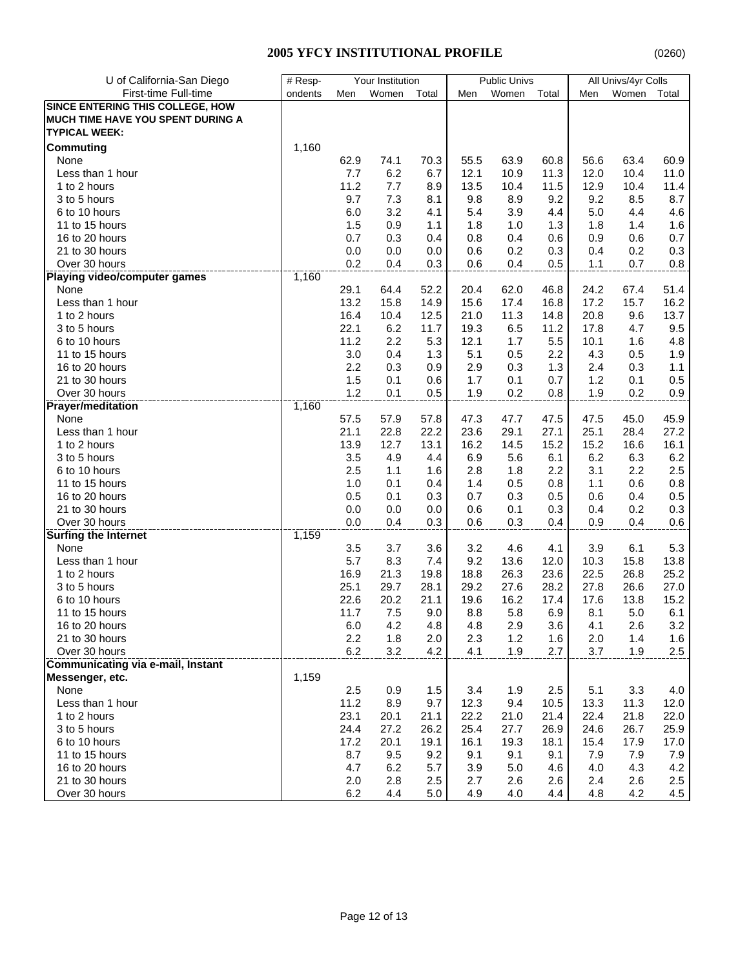| U of California-San Diego                | $#$ Resp- | Your Institution |       |       | <b>Public Univs</b> |       |       | All Univs/4yr Colls |       |       |
|------------------------------------------|-----------|------------------|-------|-------|---------------------|-------|-------|---------------------|-------|-------|
| First-time Full-time                     | ondents   | Men              | Women | Total | Men                 | Women | Total | Men                 | Women | Total |
| SINCE ENTERING THIS COLLEGE, HOW         |           |                  |       |       |                     |       |       |                     |       |       |
| MUCH TIME HAVE YOU SPENT DURING A        |           |                  |       |       |                     |       |       |                     |       |       |
| <b>TYPICAL WEEK:</b>                     |           |                  |       |       |                     |       |       |                     |       |       |
| <b>Commuting</b>                         | 1,160     |                  |       |       |                     |       |       |                     |       |       |
| None                                     |           | 62.9             | 74.1  | 70.3  | 55.5                | 63.9  | 60.8  | 56.6                | 63.4  | 60.9  |
| Less than 1 hour                         |           | 7.7              | 6.2   | 6.7   | 12.1                | 10.9  | 11.3  | 12.0                | 10.4  | 11.0  |
| 1 to 2 hours                             |           | 11.2             | 7.7   | 8.9   | 13.5                | 10.4  | 11.5  | 12.9                | 10.4  | 11.4  |
| 3 to 5 hours                             |           | 9.7              | 7.3   | 8.1   | 9.8                 | 8.9   | 9.2   | 9.2                 | 8.5   | 8.7   |
| 6 to 10 hours                            |           | 6.0              | 3.2   | 4.1   | 5.4                 | 3.9   | 4.4   | 5.0                 | 4.4   | 4.6   |
| 11 to 15 hours                           |           | 1.5              | 0.9   | 1.1   | 1.8                 | 1.0   | 1.3   | 1.8                 | 1.4   | 1.6   |
| 16 to 20 hours                           |           | 0.7              | 0.3   | 0.4   | 0.8                 | 0.4   | 0.6   | 0.9                 | 0.6   | 0.7   |
| 21 to 30 hours                           |           | 0.0              | 0.0   | 0.0   | 0.6                 | 0.2   | 0.3   | 0.4                 | 0.2   | 0.3   |
| Over 30 hours                            |           | 0.2              | 0.4   | 0.3   | 0.6                 | 0.4   | 0.5   | 1.1                 | 0.7   | 0.8   |
| <b>Playing video/computer games</b>      | 1,160     |                  |       |       |                     |       |       |                     |       |       |
| None                                     |           | 29.1             | 64.4  | 52.2  | 20.4                | 62.0  | 46.8  | 24.2                | 67.4  | 51.4  |
| Less than 1 hour                         |           | 13.2             | 15.8  | 14.9  | 15.6                | 17.4  | 16.8  | 17.2                | 15.7  | 16.2  |
| 1 to 2 hours                             |           | 16.4             | 10.4  | 12.5  | 21.0                | 11.3  | 14.8  | 20.8                | 9.6   | 13.7  |
| 3 to 5 hours                             |           | 22.1             | 6.2   | 11.7  | 19.3                | 6.5   | 11.2  | 17.8                | 4.7   | 9.5   |
| 6 to 10 hours                            |           | 11.2             | 2.2   | 5.3   | 12.1                | 1.7   | 5.5   | 10.1                | 1.6   | 4.8   |
| 11 to 15 hours                           |           | 3.0              | 0.4   | 1.3   | 5.1                 | 0.5   | 2.2   | 4.3                 | 0.5   | 1.9   |
| 16 to 20 hours                           |           | 2.2              | 0.3   | 0.9   | 2.9                 | 0.3   | 1.3   | 2.4                 | 0.3   | 1.1   |
| 21 to 30 hours                           |           | 1.5              | 0.1   | 0.6   | 1.7                 | 0.1   | 0.7   | 1.2                 | 0.1   | 0.5   |
| Over 30 hours                            |           | 1.2              | 0.1   | 0.5   | 1.9                 | 0.2   | 0.8   | 1.9                 | 0.2   | 0.9   |
| <b>Prayer/meditation</b>                 | 1,160     |                  |       |       |                     |       |       |                     |       |       |
| None                                     |           | 57.5             | 57.9  | 57.8  | 47.3                | 47.7  | 47.5  | 47.5                | 45.0  | 45.9  |
| Less than 1 hour                         |           | 21.1             | 22.8  | 22.2  | 23.6                | 29.1  | 27.1  | 25.1                | 28.4  | 27.2  |
| 1 to 2 hours                             |           | 13.9             | 12.7  | 13.1  | 16.2                | 14.5  | 15.2  | 15.2                | 16.6  | 16.1  |
| 3 to 5 hours                             |           | 3.5              | 4.9   | 4.4   | 6.9                 | 5.6   | 6.1   | 6.2                 | 6.3   | 6.2   |
| 6 to 10 hours                            |           | 2.5              | 1.1   | 1.6   | 2.8                 | 1.8   | 2.2   | 3.1                 | 2.2   | 2.5   |
| 11 to 15 hours                           |           | 1.0              | 0.1   | 0.4   | 1.4                 | 0.5   | 0.8   | 1.1                 | 0.6   | 0.8   |
| 16 to 20 hours                           |           | 0.5              | 0.1   | 0.3   | 0.7                 | 0.3   | 0.5   | 0.6                 | 0.4   | 0.5   |
| 21 to 30 hours                           |           | 0.0              | 0.0   | 0.0   | 0.6                 | 0.1   | 0.3   | 0.4                 | 0.2   | 0.3   |
| Over 30 hours                            |           | 0.0              | 0.4   | 0.3   | 0.6                 | 0.3   | 0.4   | 0.9                 | 0.4   | 0.6   |
| <b>Surfing the Internet</b>              | 1,159     |                  |       |       |                     |       |       |                     |       |       |
| None                                     |           | 3.5              | 3.7   | 3.6   | 3.2                 | 4.6   | 4.1   | 3.9                 | 6.1   | 5.3   |
| Less than 1 hour                         |           | 5.7              | 8.3   | 7.4   | 9.2                 | 13.6  | 12.0  | 10.3                | 15.8  | 13.8  |
| 1 to 2 hours                             |           | 16.9             | 21.3  | 19.8  | 18.8                | 26.3  | 23.6  | 22.5                | 26.8  | 25.2  |
| 3 to 5 hours                             |           | 25.1             | 29.7  | 28.1  | 29.2                | 27.6  | 28.2  | 27.8                | 26.6  | 27.0  |
| 6 to 10 hours                            |           | 22.6             | 20.2  | 21.1  | 19.6                | 16.2  | 17.4  | 17.6                | 13.8  | 15.2  |
| 11 to 15 hours                           |           | 11.7             | 7.5   | 9.0   | 8.8                 | 5.8   | 6.9   | 8.1                 | 5.0   | 6.1   |
| 16 to 20 hours                           |           | $6.0\,$          | 4.2   | 4.8   | 4.8                 | 2.9   | 3.6   | 4.1                 | 2.6   | 3.2   |
| 21 to 30 hours                           |           | 2.2              | 1.8   | 2.0   | 2.3                 | 1.2   | 1.6   | 2.0                 | 1.4   | 1.6   |
| Over 30 hours                            |           | $6.2\,$          | 3.2   | 4.2   | 4.1                 | 1.9   | 2.7   | 3.7                 | 1.9   | 2.5   |
| <b>Communicating via e-mail, Instant</b> |           |                  |       |       |                     |       |       |                     |       |       |
| Messenger, etc.                          | 1,159     |                  |       |       |                     |       |       |                     |       |       |
| None                                     |           | 2.5              | 0.9   | 1.5   | 3.4                 | 1.9   | 2.5   | 5.1                 | 3.3   | 4.0   |
| Less than 1 hour                         |           | 11.2             | 8.9   | 9.7   | 12.3                | 9.4   | 10.5  | 13.3                | 11.3  | 12.0  |
| 1 to 2 hours                             |           | 23.1             | 20.1  | 21.1  | 22.2                | 21.0  | 21.4  | 22.4                | 21.8  | 22.0  |
| 3 to 5 hours                             |           | 24.4             | 27.2  | 26.2  | 25.4                | 27.7  | 26.9  | 24.6                | 26.7  | 25.9  |
| 6 to 10 hours                            |           | 17.2             | 20.1  | 19.1  | 16.1                | 19.3  | 18.1  | 15.4                | 17.9  | 17.0  |
| 11 to 15 hours                           |           | 8.7              | 9.5   | 9.2   | 9.1                 | 9.1   | 9.1   | 7.9                 | 7.9   | 7.9   |
| 16 to 20 hours                           |           | 4.7              | 6.2   | 5.7   | 3.9                 | 5.0   | 4.6   | 4.0                 | 4.3   | 4.2   |
| 21 to 30 hours                           |           | 2.0              | 2.8   | 2.5   | 2.7                 | 2.6   | 2.6   | 2.4                 | 2.6   | 2.5   |
| Over 30 hours                            |           | 6.2              | 4.4   | 5.0   | 4.9                 | 4.0   | 4.4   | 4.8                 | 4.2   | 4.5   |